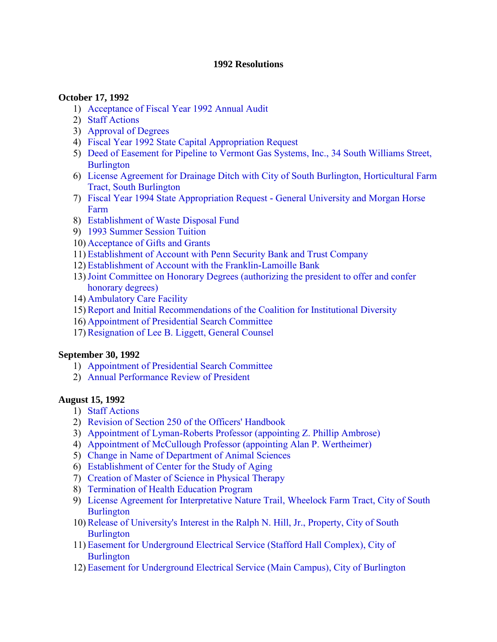#### **1992 Resolutions**

### **October 17, 1992**

- 1) [Acceptance of Fiscal Year 1992 Annual Audit](#page-3-0)
- 2) [Staff Actions](#page-3-0)
- 3) [Approval of Degrees](#page-3-0)
- 4) [Fiscal Year 1992 State Capital Appropriation Request](#page-3-0)
- 5) [Deed of Easement for Pipeline to Vermont Gas Systems, Inc., 34 South Williams Street,](#page-3-0) **Burlington**
- 6) [License Agreement for Drainage Ditch with City of South Burlington, Horticultural Farm](#page-4-0) Tract, South Burlington
- 7) [Fiscal Year 1994 State Appropriation Request](#page-4-0) **-** General University and Morgan Horse Farm
- 8) [Establishment of Waste Disposal Fund](#page-5-0)
- 9) [1993 Summer Session Tuition](#page-5-0)
- 10) [Acceptance of Gifts and Grants](#page-5-0)
- 11) [Establishment of Account with Penn Security Bank and Trust Company](#page-5-0)
- 12) [Establishment of Account with the Franklin](#page-5-0)**-**Lamoille Bank
- 13[\)Joint Committee on Honorary Degrees \(authorizing the president to offer and confer](#page-6-0)  honorary degrees)
- 14) [Ambulatory Care Facility](#page-6-0)
- 15)[Report and Initial Recommendations of the Coalition for Institutional Diversity](#page-6-0)
- 16) [Appointment of Presidential Search Committee](#page-7-0)
- 17)[Resignation of Lee B. Liggett, General Counsel](#page-7-0)

#### **September 30, 1992**

- 1) [Appointment of Presidential Search Committee](#page-9-0)
- 2) [Annual Performance Review of President](#page-9-0)

## **August 15, 1992**

- 1) [Staff Actions](#page-10-0)
- 2) [Revision of Section 250 of the Officers' Handbook](#page-10-0)
- 3) [Appointment of Lyman-Roberts Professor \(appointing Z. Phillip Ambrose\)](#page-10-0)
- 4) [Appointment of McCullough Professor \(appointing Alan P. Wertheimer\)](#page-10-0)
- 5) [Change in Name of Department of Animal Sciences](#page-10-0)
- 6) [Establishment of Center for the Study of Aging](#page-10-0)
- 7) [Creation of Master of Science in Physical Therapy](#page-10-0)
- 8) [Termination of Health Education Program](#page-10-0)
- 9) [License Agreement for Interpretative Nature Trail, Wheelock Farm Tract, City of South](#page-11-0) **Burlington**
- 10)[Release of University's Interest in the Ralph N. Hill, Jr., Property, City of South](#page-11-0) **Burlington**
- 11) [Easement for Underground Electrical Service \(Stafford Hall Complex\), City of](#page-12-0)  **Burlington**
- 12) [Easement for Underground Electrical Service \(Main Campus\), City of Burlington](#page-12-0)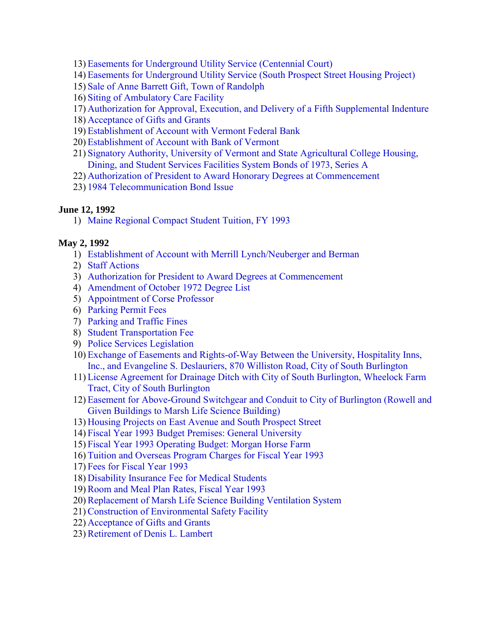- 13) [Easements for Underground Utility Service \(Centennial Court\)](#page-13-0)
- 14) [Easements for Underground Utility Service \(South Prospect Street Housing Project\)](#page-13-0)
- 15) [Sale of Anne Barrett Gift, Town of Randolph](#page-14-0)
- 16) [Siting of Ambulatory Care Facility](#page-14-0)
- 17) [Authorization for Approval, Execution, and Delivery of a Fifth Supplemental Indenture](#page-15-0)
- 18) [Acceptance of Gifts and Grants](#page-17-0)
- 19) [Establishment of Account with Vermont Federal Bank](#page-17-0)
- 20) [Establishment of Account with Bank of Vermont](#page-17-0)
- 21) [Signatory Authority, University of Vermont and State Agricultural College Housing,](#page-18-0) Dining, and Student Services Facilities System Bonds of 1973, Series A
- 22) [Authorization of President to Award Honorary Degrees at Commencement](#page-18-0)
- 23) [1984 Telecommunication Bond Issue](#page-18-0)

# **June 12, 1992**

1) [Maine Regional Compact Student Tuition, FY 1993](#page-20-0) 

# **May 2, 1992**

- 1) [Establishment of Account with Merrill Lynch/Neuberger and Berman](#page-21-0)
- 2) [Staff Actions](#page-21-0)
- 3) [Authorization for President to Award Degrees at Commencement](#page-21-0)
- 4) [Amendment of October 1972 Degree List](#page-21-0)
- 5) [Appointment of Corse Professor](#page-21-0)
- 6) [Parking Permit Fees](#page-22-0)
- 7) [Parking and Traffic Fines](#page-23-0)
- 8) [Student Transportation Fee](#page-23-0)
- 9) [Police Services Legislation](#page-23-0)
- 10) [Exchange of Easements and Rights-of-Way Between the University, Hospitality Inns,](#page-24-0) Inc., and Evangeline S. Deslauriers, 870 Williston Road, City of South Burlington
- 11) [License Agreement for Drainage Ditch with City of South Burlington, Wheelock Farm](#page-24-0) Tract, City of South Burlington
- 12) Easement for Above**-**[Ground Switchgear and Conduit to City of Burlington \(Rowell and](#page-25-0) Given Buildings to Marsh Life Science Building)
- 13) [Housing Projects on East Avenue and South Prospect Street](#page-25-0)
- 14) [Fiscal Year 1993 Budget Premises: General University](#page-26-0)
- 15) [Fiscal Year 1993 Operating Budget: Morgan Horse Farm](#page-26-0)
- 16) [Tuition and Overseas Program Charges for Fiscal Year 1993](#page-26-0)
- 17) [Fees for Fiscal Year 1993](#page-26-0)
- 18) [Disability Insurance Fee for Medical Students](#page-27-0)
- 19)[Room and Meal Plan Rates, Fiscal Year 1993](#page-27-0)
- 20)[Replacement of Marsh Life Science Building Ventilation System](#page-27-0)
- 21)[Construction of Environmental Safety Facility](#page-27-0)
- 22) [Acceptance of Gifts and Grants](#page-27-0)
- 23)[Retirement of Denis L. Lambert](#page-27-0)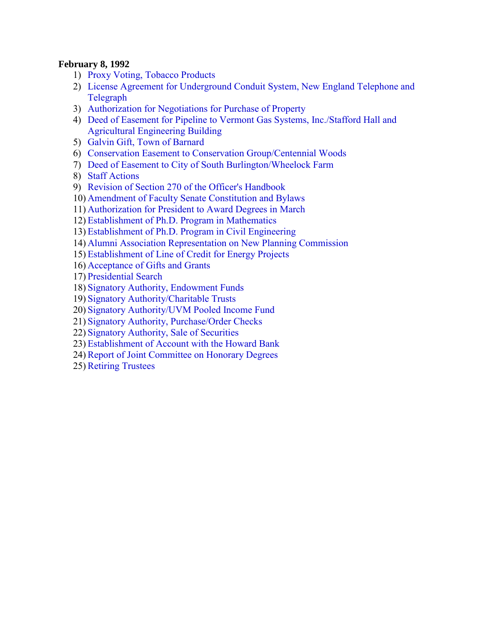### **February 8, 1992**

- 1) [Proxy Voting, Tobacco Products](#page-29-0)
- 2) [License Agreement for Underground Conduit System, New England Telephone and](#page-29-0) Telegraph
- 3) [Authorization for Negotiations for Purchase of Property](#page-30-0)
- 4) [Deed of Easement for Pipeline to Vermont Gas Systems, Inc./Stafford Hall and](#page-30-0)  Agricultural Engineering Building
- 5) [Galvin Gift, Town of Barnard](#page-31-0)
- 6) [Conservation Easement to Conservation Group/Centennial Woods](#page-31-0)
- 7) [Deed of Easement to City of South Burlington/Wheelock Farm](#page-32-0)
- 8) [Staff Actions](#page-32-0)
- 9) [Revision of Section 270 of the Officer's Handbook](#page-32-0)
- 10) [Amendment of Faculty Senate Constitution and Bylaws](#page-32-0)
- 11) [Authorization for President to Award Degrees in March](#page-33-0)
- 12) [Establishment of Ph.D. Program in Mathematics](#page-33-0)
- 13) [Establishment of Ph.D. Program in Civil Engineering](#page-33-0)
- 14) [Alumni Association Representation on New Planning Commission](#page-33-0)
- 15) [Establishment of Line of Credit for Energy Projects](#page-34-0)
- 16) [Acceptance of Gifts and Grants](#page-34-0)
- 17) [Presidential Search](#page-34-0)
- 18) [Signatory Authority, Endowment Funds](#page-34-0)
- 19) [Signatory Authority/Charitable Trusts](#page-35-0)
- 20) [Signatory Authority/UVM Pooled Income Fund](#page-35-0)
- 21) [Signatory Authority, Purchase/Order Checks](#page-35-0)
- 22) [Signatory Authority, Sale of Securiti](#page-36-0)es
- 23) [Establishment of Account with the Howard Bank](#page-36-0)
- 24)[Report of Joint Committee on Honorary Degrees](#page-37-0)
- 25)[Retiring Trustees](#page-37-0)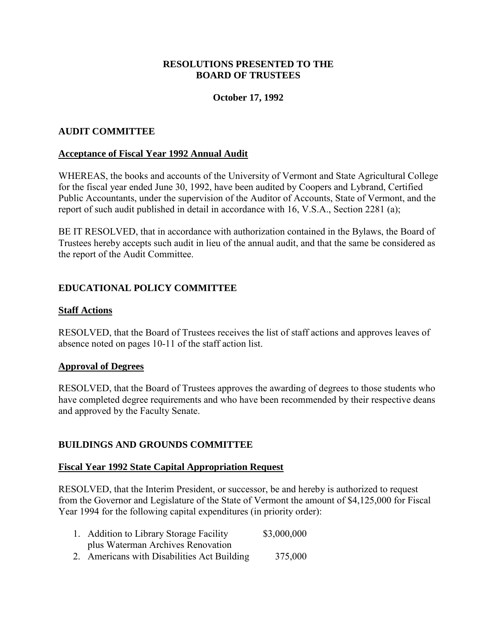### **RESOLUTIONS PRESENTED TO THE BOARD OF TRUSTEES**

### **October 17, 1992**

### <span id="page-3-0"></span>**AUDIT COMMITTEE**

#### **Acceptance of Fiscal Year 1992 Annual Audit**

WHEREAS, the books and accounts of the University of Vermont and State Agricultural College for the fiscal year ended June 30, 1992, have been audited by Coopers and Lybrand, Certified Public Accountants, under the supervision of the Auditor of Accounts, State of Vermont, and the report of such audit published in detail in accordance with 16, V.S.A., Section 2281 (a);

BE IT RESOLVED, that in accordance with authorization contained in the Bylaws, the Board of Trustees hereby accepts such audit in lieu of the annual audit, and that the same be considered as the report of the Audit Committee.

### **EDUCATIONAL POLICY COMMITTEE**

#### **Staff Actions**

RESOLVED, that the Board of Trustees receives the list of staff actions and approves leaves of absence noted on pages 10-11 of the staff action list.

#### **Approval of Degrees**

RESOLVED, that the Board of Trustees approves the awarding of degrees to those students who have completed degree requirements and who have been recommended by their respective deans and approved by the Faculty Senate.

#### **BUILDINGS AND GROUNDS COMMITTEE**

#### **Fiscal Year 1992 State Capital Appropriation Request**

RESOLVED, that the Interim President, or successor, be and hereby is authorized to request from the Governor and Legislature of the State of Vermont the amount of \$4,125,000 for Fiscal Year 1994 for the following capital expenditures (in priority order):

| 1. Addition to Library Storage Facility     | \$3,000,000 |
|---------------------------------------------|-------------|
| plus Waterman Archives Renovation           |             |
| 2. Americans with Disabilities Act Building | 375,000     |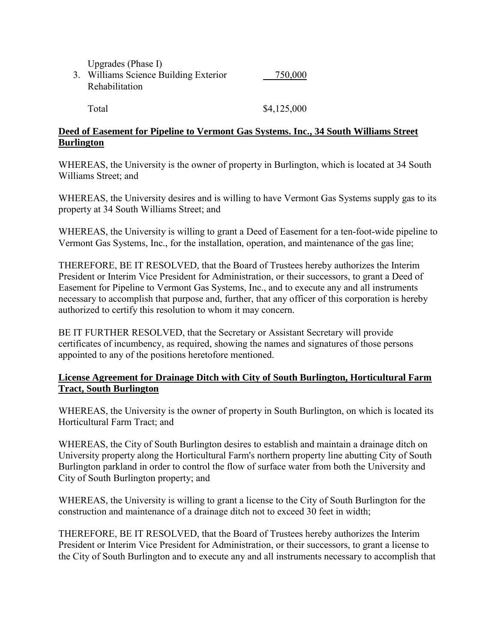Upgrades (Phase I)

<span id="page-4-0"></span>3. Williams Science Building Exterior 750,000 Rehabilitation

Total \$4,125,000

## **Deed of Easement for Pipeline to Vermont Gas Systems. Inc., 34 South Williams Street Burlington**

WHEREAS, the University is the owner of property in Burlington, which is located at 34 South Williams Street; and

WHEREAS, the University desires and is willing to have Vermont Gas Systems supply gas to its property at 34 South Williams Street; and

WHEREAS, the University is willing to grant a Deed of Easement for a ten-foot-wide pipeline to Vermont Gas Systems, Inc., for the installation, operation, and maintenance of the gas line;

THEREFORE, BE IT RESOLVED, that the Board of Trustees hereby authorizes the Interim President or Interim Vice President for Administration, or their successors, to grant a Deed of Easement for Pipeline to Vermont Gas Systems, Inc., and to execute any and all instruments necessary to accomplish that purpose and, further, that any officer of this corporation is hereby authorized to certify this resolution to whom it may concern.

BE IT FURTHER RESOLVED, that the Secretary or Assistant Secretary will provide certificates of incumbency, as required, showing the names and signatures of those persons appointed to any of the positions heretofore mentioned.

# **License Agreement for Drainage Ditch with City of South Burlington, Horticultural Farm Tract, South Burlington**

WHEREAS, the University is the owner of property in South Burlington, on which is located its Horticultural Farm Tract; and

WHEREAS, the City of South Burlington desires to establish and maintain a drainage ditch on University property along the Horticultural Farm's northern property line abutting City of South Burlington parkland in order to control the flow of surface water from both the University and City of South Burlington property; and

WHEREAS, the University is willing to grant a license to the City of South Burlington for the construction and maintenance of a drainage ditch not to exceed 30 feet in width;

THEREFORE, BE IT RESOLVED, that the Board of Trustees hereby authorizes the Interim President or Interim Vice President for Administration, or their successors, to grant a license to the City of South Burlington and to execute any and all instruments necessary to accomplish that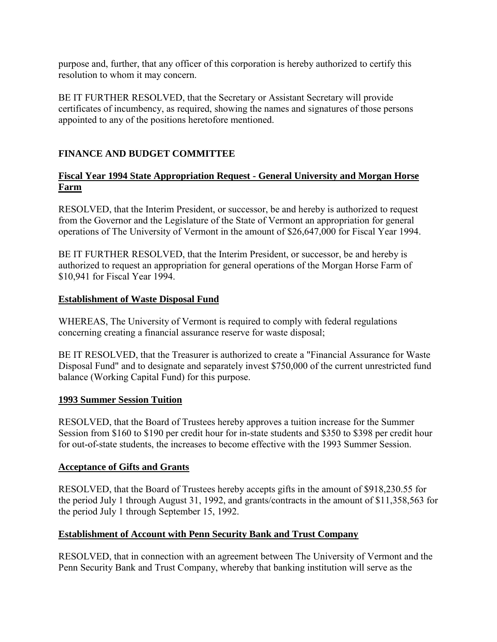<span id="page-5-0"></span>purpose and, further, that any officer of this corporation is hereby authorized to certify this resolution to whom it may concern.

BE IT FURTHER RESOLVED, that the Secretary or Assistant Secretary will provide certificates of incumbency, as required, showing the names and signatures of those persons appointed to any of the positions heretofore mentioned.

# **FINANCE AND BUDGET COMMITTEE**

# **Fiscal Year 1994 State Appropriation Request - General University and Morgan Horse Farm**

RESOLVED, that the Interim President, or successor, be and hereby is authorized to request from the Governor and the Legislature of the State of Vermont an appropriation for general operations of The University of Vermont in the amount of \$26,647,000 for Fiscal Year 1994.

BE IT FURTHER RESOLVED, that the Interim President, or successor, be and hereby is authorized to request an appropriation for general operations of the Morgan Horse Farm of \$10,941 for Fiscal Year 1994.

# **Establishment of Waste Disposal Fund**

WHEREAS, The University of Vermont is required to comply with federal regulations concerning creating a financial assurance reserve for waste disposal;

BE IT RESOLVED, that the Treasurer is authorized to create a "Financial Assurance for Waste Disposal Fund" and to designate and separately invest \$750,000 of the current unrestricted fund balance (Working Capital Fund) for this purpose.

## **1993 Summer Session Tuition**

RESOLVED, that the Board of Trustees hereby approves a tuition increase for the Summer Session from \$160 to \$190 per credit hour for in-state students and \$350 to \$398 per credit hour for out-of-state students, the increases to become effective with the 1993 Summer Session.

## **Acceptance of Gifts and Grants**

RESOLVED, that the Board of Trustees hereby accepts gifts in the amount of \$918,230.55 for the period July 1 through August 31, 1992, and grants/contracts in the amount of \$11,358,563 for the period July 1 through September 15, 1992.

# **Establishment of Account with Penn Security Bank and Trust Company**

RESOLVED, that in connection with an agreement between The University of Vermont and the Penn Security Bank and Trust Company, whereby that banking institution will serve as the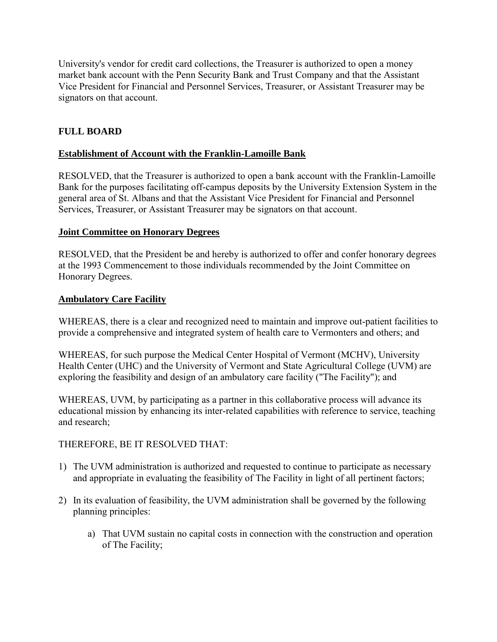<span id="page-6-0"></span>University's vendor for credit card collections, the Treasurer is authorized to open a money market bank account with the Penn Security Bank and Trust Company and that the Assistant Vice President for Financial and Personnel Services, Treasurer, or Assistant Treasurer may be signators on that account.

# **FULL BOARD**

## **Establishment of Account with the Franklin-Lamoille Bank**

RESOLVED, that the Treasurer is authorized to open a bank account with the Franklin-Lamoille Bank for the purposes facilitating off-campus deposits by the University Extension System in the general area of St. Albans and that the Assistant Vice President for Financial and Personnel Services, Treasurer, or Assistant Treasurer may be signators on that account.

### **Joint Committee on Honorary Degrees**

RESOLVED, that the President be and hereby is authorized to offer and confer honorary degrees at the 1993 Commencement to those individuals recommended by the Joint Committee on Honorary Degrees.

### **Ambulatory Care Facility**

WHEREAS, there is a clear and recognized need to maintain and improve out-patient facilities to provide a comprehensive and integrated system of health care to Vermonters and others; and

WHEREAS, for such purpose the Medical Center Hospital of Vermont (MCHV), University Health Center (UHC) and the University of Vermont and State Agricultural College (UVM) are exploring the feasibility and design of an ambulatory care facility ("The Facility"); and

WHEREAS, UVM, by participating as a partner in this collaborative process will advance its educational mission by enhancing its inter-related capabilities with reference to service, teaching and research;

## THEREFORE, BE IT RESOLVED THAT:

- 1) The UVM administration is authorized and requested to continue to participate as necessary and appropriate in evaluating the feasibility of The Facility in light of all pertinent factors;
- 2) In its evaluation of feasibility, the UVM administration shall be governed by the following planning principles:
	- a) That UVM sustain no capital costs in connection with the construction and operation of The Facility;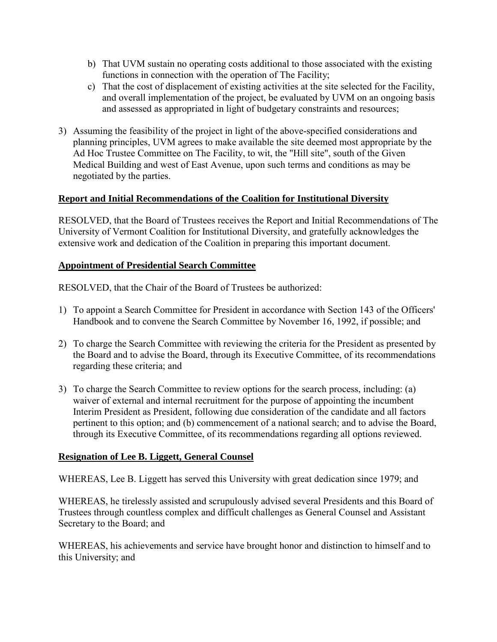- <span id="page-7-0"></span>b) That UVM sustain no operating costs additional to those associated with the existing functions in connection with the operation of The Facility;
- c) That the cost of displacement of existing activities at the site selected for the Facility, and overall implementation of the project, be evaluated by UVM on an ongoing basis and assessed as appropriated in light of budgetary constraints and resources;
- 3) Assuming the feasibility of the project in light of the above-specified considerations and planning principles, UVM agrees to make available the site deemed most appropriate by the Ad Hoc Trustee Committee on The Facility, to wit, the "Hill site", south of the Given Medical Building and west of East Avenue, upon such terms and conditions as may be negotiated by the parties.

# **Report and Initial Recommendations of the Coalition for Institutional Diversity**

RESOLVED, that the Board of Trustees receives the Report and Initial Recommendations of The University of Vermont Coalition for Institutional Diversity, and gratefully acknowledges the extensive work and dedication of the Coalition in preparing this important document.

## **Appointment of Presidential Search Committee**

RESOLVED, that the Chair of the Board of Trustees be authorized:

- 1) To appoint a Search Committee for President in accordance with Section 143 of the Officers' Handbook and to convene the Search Committee by November 16, 1992, if possible; and
- 2) To charge the Search Committee with reviewing the criteria for the President as presented by the Board and to advise the Board, through its Executive Committee, of its recommendations regarding these criteria; and
- 3) To charge the Search Committee to review options for the search process, including: (a) waiver of external and internal recruitment for the purpose of appointing the incumbent Interim President as President, following due consideration of the candidate and all factors pertinent to this option; and (b) commencement of a national search; and to advise the Board, through its Executive Committee, of its recommendations regarding all options reviewed.

# **Resignation of Lee B. Liggett, General Counsel**

WHEREAS, Lee B. Liggett has served this University with great dedication since 1979; and

WHEREAS, he tirelessly assisted and scrupulously advised several Presidents and this Board of Trustees through countless complex and difficult challenges as General Counsel and Assistant Secretary to the Board; and

WHEREAS, his achievements and service have brought honor and distinction to himself and to this University; and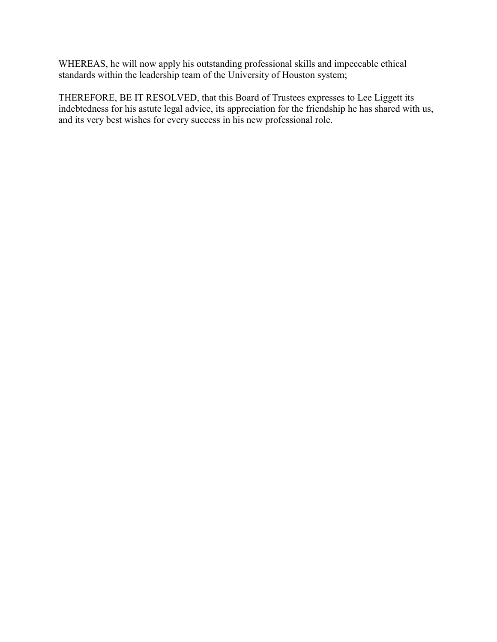WHEREAS, he will now apply his outstanding professional skills and impeccable ethical standards within the leadership team of the University of Houston system;

THEREFORE, BE IT RESOLVED, that this Board of Trustees expresses to Lee Liggett its indebtedness for his astute legal advice, its appreciation for the friendship he has shared with us, and its very best wishes for every success in his new professional role.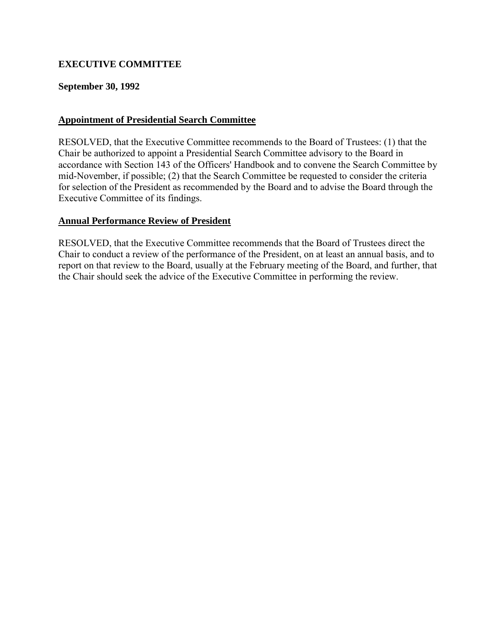# <span id="page-9-0"></span>**EXECUTIVE COMMITTEE**

### **September 30, 1992**

### **Appointment of Presidential Search Committee**

RESOLVED, that the Executive Committee recommends to the Board of Trustees: (1) that the Chair be authorized to appoint a Presidential Search Committee advisory to the Board in accordance with Section 143 of the Officers' Handbook and to convene the Search Committee by mid-November, if possible; (2) that the Search Committee be requested to consider the criteria for selection of the President as recommended by the Board and to advise the Board through the Executive Committee of its findings.

### **Annual Performance Review of President**

RESOLVED, that the Executive Committee recommends that the Board of Trustees direct the Chair to conduct a review of the performance of the President, on at least an annual basis, and to report on that review to the Board, usually at the February meeting of the Board, and further, that the Chair should seek the advice of the Executive Committee in performing the review.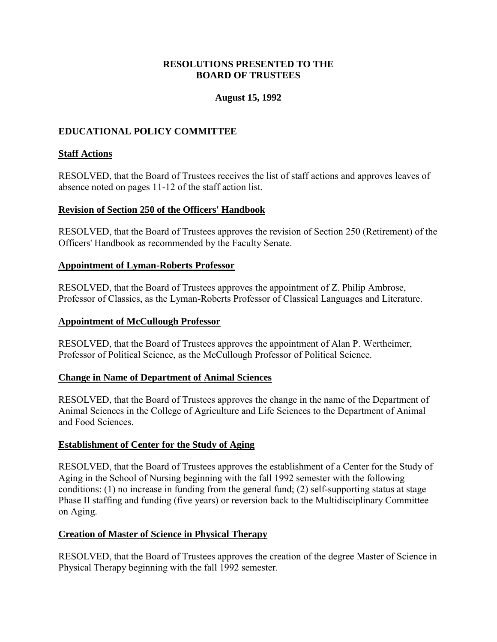## **RESOLUTIONS PRESENTED TO THE BOARD OF TRUSTEES**

## **August 15, 1992**

## <span id="page-10-0"></span>**EDUCATIONAL POLICY COMMITTEE**

### **Staff Actions**

RESOLVED, that the Board of Trustees receives the list of staff actions and approves leaves of absence noted on pages 11-12 of the staff action list.

### **Revision of Section 250 of the Officers' Handbook**

RESOLVED, that the Board of Trustees approves the revision of Section 250 (Retirement) of the Officers' Handbook as recommended by the Faculty Senate.

#### **Appointment of Lyman-Roberts Professor**

RESOLVED, that the Board of Trustees approves the appointment of Z. Philip Ambrose, Professor of Classics, as the Lyman-Roberts Professor of Classical Languages and Literature.

#### **Appointment of McCullough Professor**

RESOLVED, that the Board of Trustees approves the appointment of Alan P. Wertheimer, Professor of Political Science, as the McCullough Professor of Political Science.

#### **Change in Name of Department of Animal Sciences**

RESOLVED, that the Board of Trustees approves the change in the name of the Department of Animal Sciences in the College of Agriculture and Life Sciences to the Department of Animal and Food Sciences.

## **Establishment of Center for the Study of Aging**

RESOLVED, that the Board of Trustees approves the establishment of a Center for the Study of Aging in the School of Nursing beginning with the fall 1992 semester with the following conditions: (1) no increase in funding from the general fund; (2) self-supporting status at stage Phase II staffing and funding (five years) or reversion back to the Multidisciplinary Committee on Aging.

#### **Creation of Master of Science in Physical Therapy**

RESOLVED, that the Board of Trustees approves the creation of the degree Master of Science in Physical Therapy beginning with the fall 1992 semester.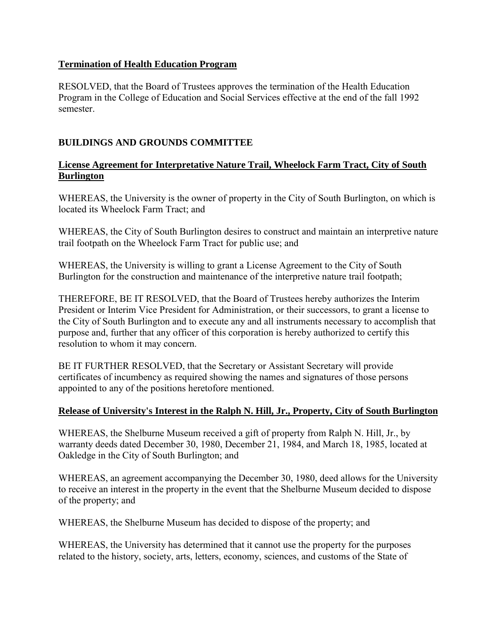## <span id="page-11-0"></span>**Termination of Health Education Program**

RESOLVED, that the Board of Trustees approves the termination of the Health Education Program in the College of Education and Social Services effective at the end of the fall 1992 semester.

# **BUILDINGS AND GROUNDS COMMITTEE**

# **License Agreement for Interpretative Nature Trail, Wheelock Farm Tract, City of South Burlington**

WHEREAS, the University is the owner of property in the City of South Burlington, on which is located its Wheelock Farm Tract; and

WHEREAS, the City of South Burlington desires to construct and maintain an interpretive nature trail footpath on the Wheelock Farm Tract for public use; and

WHEREAS, the University is willing to grant a License Agreement to the City of South Burlington for the construction and maintenance of the interpretive nature trail footpath;

THEREFORE, BE IT RESOLVED, that the Board of Trustees hereby authorizes the Interim President or Interim Vice President for Administration, or their successors, to grant a license to the City of South Burlington and to execute any and all instruments necessary to accomplish that purpose and, further that any officer of this corporation is hereby authorized to certify this resolution to whom it may concern.

BE IT FURTHER RESOLVED, that the Secretary or Assistant Secretary will provide certificates of incumbency as required showing the names and signatures of those persons appointed to any of the positions heretofore mentioned.

# **Release of University's Interest in the Ralph N. Hill, Jr., Property, City of South Burlington**

WHEREAS, the Shelburne Museum received a gift of property from Ralph N. Hill, Jr., by warranty deeds dated December 30, 1980, December 21, 1984, and March 18, 1985, located at Oakledge in the City of South Burlington; and

WHEREAS, an agreement accompanying the December 30, 1980, deed allows for the University to receive an interest in the property in the event that the Shelburne Museum decided to dispose of the property; and

WHEREAS, the Shelburne Museum has decided to dispose of the property; and

WHEREAS, the University has determined that it cannot use the property for the purposes related to the history, society, arts, letters, economy, sciences, and customs of the State of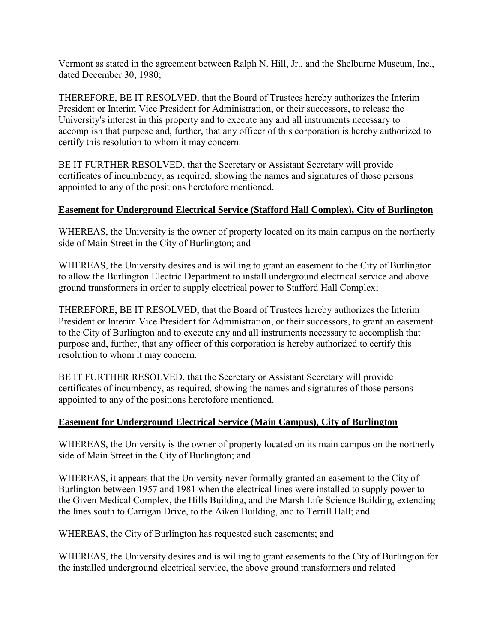<span id="page-12-0"></span>Vermont as stated in the agreement between Ralph N. Hill, Jr., and the Shelburne Museum, Inc., dated December 30, 1980;

THEREFORE, BE IT RESOLVED, that the Board of Trustees hereby authorizes the Interim President or Interim Vice President for Administration, or their successors, to release the University's interest in this property and to execute any and all instruments necessary to accomplish that purpose and, further, that any officer of this corporation is hereby authorized to certify this resolution to whom it may concern.

BE IT FURTHER RESOLVED, that the Secretary or Assistant Secretary will provide certificates of incumbency, as required, showing the names and signatures of those persons appointed to any of the positions heretofore mentioned.

# **Easement for Underground Electrical Service (Stafford Hall Complex), City of Burlington**

WHEREAS, the University is the owner of property located on its main campus on the northerly side of Main Street in the City of Burlington; and

WHEREAS, the University desires and is willing to grant an easement to the City of Burlington to allow the Burlington Electric Department to install underground electrical service and above ground transformers in order to supply electrical power to Stafford Hall Complex;

THEREFORE, BE IT RESOLVED, that the Board of Trustees hereby authorizes the Interim President or Interim Vice President for Administration, or their successors, to grant an easement to the City of Burlington and to execute any and all instruments necessary to accomplish that purpose and, further, that any officer of this corporation is hereby authorized to certify this resolution to whom it may concern.

BE IT FURTHER RESOLVED, that the Secretary or Assistant Secretary will provide certificates of incumbency, as required, showing the names and signatures of those persons appointed to any of the positions heretofore mentioned.

# **Easement for Underground Electrical Service (Main Campus), City of Burlington**

WHEREAS, the University is the owner of property located on its main campus on the northerly side of Main Street in the City of Burlington; and

WHEREAS, it appears that the University never formally granted an easement to the City of Burlington between 1957 and 1981 when the electrical lines were installed to supply power to the Given Medical Complex, the Hills Building, and the Marsh Life Science Building, extending the lines south to Carrigan Drive, to the Aiken Building, and to Terrill Hall; and

WHEREAS, the City of Burlington has requested such easements; and

WHEREAS, the University desires and is willing to grant easements to the City of Burlington for the installed underground electrical service, the above ground transformers and related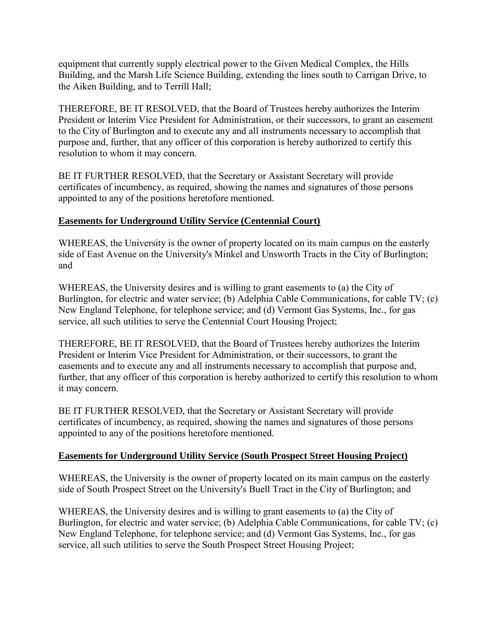<span id="page-13-0"></span>equipment that currently supply electrical power to the Given Medical Complex, the Hills Building, and the Marsh Life Science Building, extending the lines south to Carrigan Drive, to the Aiken Building, and to Terrill Hall;

THEREFORE, BE IT RESOLVED, that the Board of Trustees hereby authorizes the Interim President or Interim Vice President for Administration, or their successors, to grant an easement to the City of Burlington and to execute any and all instruments necessary to accomplish that purpose and, further, that any officer of this corporation is hereby authorized to certify this resolution to whom it may concern.

BE IT FURTHER RESOLVED, that the Secretary or Assistant Secretary will provide certificates of incumbency, as required, showing the names and signatures of those persons appointed to any of the positions heretofore mentioned.

# **Easements for Underground Utility Service (Centennial Court)**

WHEREAS, the University is the owner of property located on its main campus on the easterly side of East Avenue on the University's Minkel and Unsworth Tracts in the City of Burlington; and

WHEREAS, the University desires and is willing to grant easements to (a) the City of Burlington, for electric and water service; (b) Adelphia Cable Communications, for cable TV; (c) New England Telephone, for telephone service; and (d) Vermont Gas Systems, Inc., for gas service, all such utilities to serve the Centennial Court Housing Project;

THEREFORE, BE IT RESOLVED, that the Board of Trustees hereby authorizes the Interim President or Interim Vice President for Administration, or their successors, to grant the easements and to execute any and all instruments necessary to accomplish that purpose and, further, that any officer of this corporation is hereby authorized to certify this resolution to whom it may concern.

BE IT FURTHER RESOLVED, that the Secretary or Assistant Secretary will provide certificates of incumbency, as required, showing the names and signatures of those persons appointed to any of the positions heretofore mentioned.

## **Easements for Underground Utility Service (South Prospect Street Housing Project)**

WHEREAS, the University is the owner of property located on its main campus on the easterly side of South Prospect Street on the University's Buell Tract in the City of Burlington; and

WHEREAS, the University desires and is willing to grant easements to (a) the City of Burlington, for electric and water service; (b) Adelphia Cable Communications, for cable TV; (c) New England Telephone, for telephone service; and (d) Vermont Gas Systems, Inc., for gas service, all such utilities to serve the South Prospect Street Housing Project;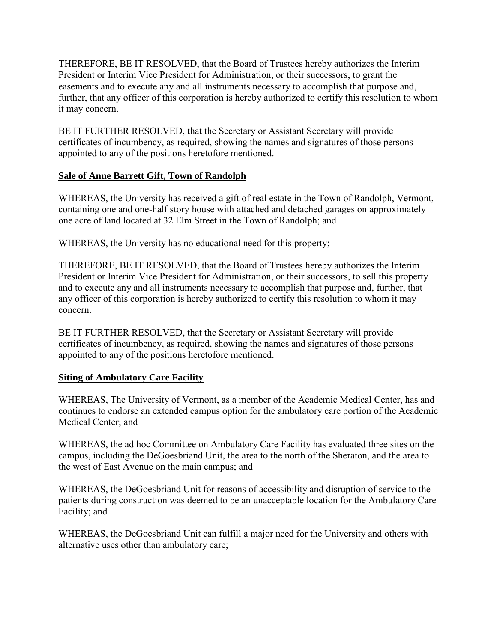<span id="page-14-0"></span>THEREFORE, BE IT RESOLVED, that the Board of Trustees hereby authorizes the Interim President or Interim Vice President for Administration, or their successors, to grant the easements and to execute any and all instruments necessary to accomplish that purpose and, further, that any officer of this corporation is hereby authorized to certify this resolution to whom it may concern.

BE IT FURTHER RESOLVED, that the Secretary or Assistant Secretary will provide certificates of incumbency, as required, showing the names and signatures of those persons appointed to any of the positions heretofore mentioned.

# **Sale of Anne Barrett Gift, Town of Randolph**

WHEREAS, the University has received a gift of real estate in the Town of Randolph, Vermont, containing one and one-half story house with attached and detached garages on approximately one acre of land located at 32 Elm Street in the Town of Randolph; and

WHEREAS, the University has no educational need for this property;

THEREFORE, BE IT RESOLVED, that the Board of Trustees hereby authorizes the Interim President or Interim Vice President for Administration, or their successors, to sell this property and to execute any and all instruments necessary to accomplish that purpose and, further, that any officer of this corporation is hereby authorized to certify this resolution to whom it may concern.

BE IT FURTHER RESOLVED, that the Secretary or Assistant Secretary will provide certificates of incumbency, as required, showing the names and signatures of those persons appointed to any of the positions heretofore mentioned.

## **Siting of Ambulatory Care Facility**

WHEREAS, The University of Vermont, as a member of the Academic Medical Center, has and continues to endorse an extended campus option for the ambulatory care portion of the Academic Medical Center; and

WHEREAS, the ad hoc Committee on Ambulatory Care Facility has evaluated three sites on the campus, including the DeGoesbriand Unit, the area to the north of the Sheraton, and the area to the west of East Avenue on the main campus; and

WHEREAS, the DeGoesbriand Unit for reasons of accessibility and disruption of service to the patients during construction was deemed to be an unacceptable location for the Ambulatory Care Facility; and

WHEREAS, the DeGoesbriand Unit can fulfill a major need for the University and others with alternative uses other than ambulatory care;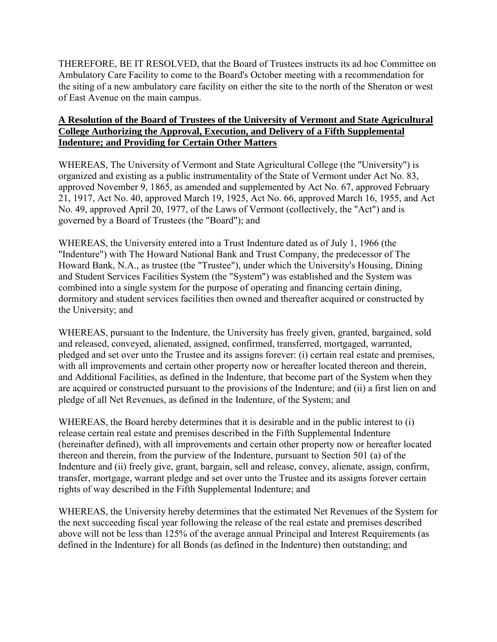<span id="page-15-0"></span>THEREFORE, BE IT RESOLVED, that the Board of Trustees instructs its ad hoc Committee on Ambulatory Care Facility to come to the Board's October meeting with a recommendation for the siting of a new ambulatory care facility on either the site to the north of the Sheraton or west of East Avenue on the main campus.

## **A Resolution of the Board of Trustees of the University of Vermont and State Agricultural College Authorizing the Approval, Execution, and Delivery of a Fifth Supplemental Indenture; and Providing for Certain Other Matters**

WHEREAS, The University of Vermont and State Agricultural College (the "University") is organized and existing as a public instrumentality of the State of Vermont under Act No. 83, approved November 9, 1865, as amended and supplemented by Act No. 67, approved February 21, 1917, Act No. 40, approved March 19, 1925, Act No. 66, approved March 16, 1955, and Act No. 49, approved April 20, 1977, of the Laws of Vermont (collectively, the "Act") and is governed by a Board of Trustees (the "Board"); and

WHEREAS, the University entered into a Trust Indenture dated as of July 1, 1966 (the "Indenture") with The Howard National Bank and Trust Company, the predecessor of The Howard Bank, N.A., as trustee (the "Trustee"), under which the University's Housing, Dining and Student Services Facilities System (the "System") was established and the System was combined into a single system for the purpose of operating and financing certain dining, dormitory and student services facilities then owned and thereafter acquired or constructed by the University; and

WHEREAS, pursuant to the Indenture, the University has freely given, granted, bargained, sold and released, conveyed, alienated, assigned, confirmed, transferred, mortgaged, warranted, pledged and set over unto the Trustee and its assigns forever: (i) certain real estate and premises, with all improvements and certain other property now or hereafter located thereon and therein, and Additional Facilities, as defined in the Indenture, that become part of the System when they are acquired or constructed pursuant to the provisions of the Indenture; and (ii) a first lien on and pledge of all Net Revenues, as defined in the Indenture, of the System; and

WHEREAS, the Board hereby determines that it is desirable and in the public interest to (i) release certain real estate and premises described in the Fifth Supplemental Indenture (hereinafter defined), with all improvements and certain other property now or hereafter located thereon and therein, from the purview of the Indenture, pursuant to Section 501 (a) of the Indenture and (ii) freely give, grant, bargain, sell and release, convey, alienate, assign, confirm, transfer, mortgage, warrant pledge and set over unto the Trustee and its assigns forever certain rights of way described in the Fifth Supplemental Indenture; and

WHEREAS, the University hereby determines that the estimated Net Revenues of the System for the next succeeding fiscal year following the release of the real estate and premises described above will not be less than 125% of the average annual Principal and Interest Requirements (as defined in the Indenture) for all Bonds (as defined in the Indenture) then outstanding; and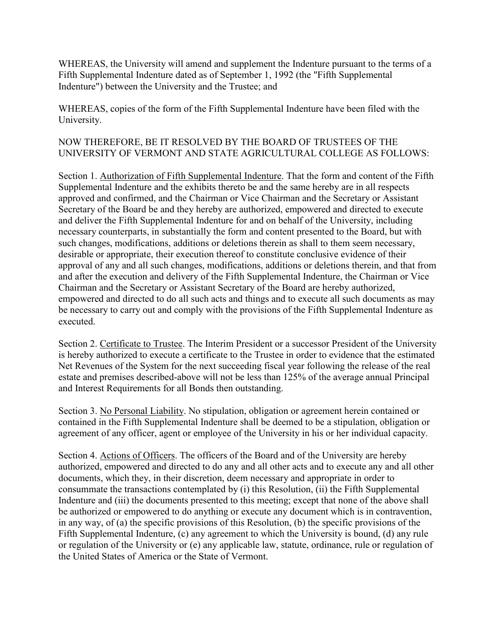WHEREAS, the University will amend and supplement the Indenture pursuant to the terms of a Fifth Supplemental Indenture dated as of September 1, 1992 (the "Fifth Supplemental Indenture") between the University and the Trustee; and

WHEREAS, copies of the form of the Fifth Supplemental Indenture have been filed with the University.

# NOW THEREFORE, BE IT RESOLVED BY THE BOARD OF TRUSTEES OF THE UNIVERSITY OF VERMONT AND STATE AGRICULTURAL COLLEGE AS FOLLOWS:

Section 1. Authorization of Fifth Supplemental Indenture. That the form and content of the Fifth Supplemental Indenture and the exhibits thereto be and the same hereby are in all respects approved and confirmed, and the Chairman or Vice Chairman and the Secretary or Assistant Secretary of the Board be and they hereby are authorized, empowered and directed to execute and deliver the Fifth Supplemental Indenture for and on behalf of the University, including necessary counterparts, in substantially the form and content presented to the Board, but with such changes, modifications, additions or deletions therein as shall to them seem necessary, desirable or appropriate, their execution thereof to constitute conclusive evidence of their approval of any and all such changes, modifications, additions or deletions therein, and that from and after the execution and delivery of the Fifth Supplemental Indenture, the Chairman or Vice Chairman and the Secretary or Assistant Secretary of the Board are hereby authorized, empowered and directed to do all such acts and things and to execute all such documents as may be necessary to carry out and comply with the provisions of the Fifth Supplemental Indenture as executed.

Section 2. Certificate to Trustee. The Interim President or a successor President of the University is hereby authorized to execute a certificate to the Trustee in order to evidence that the estimated Net Revenues of the System for the next succeeding fiscal year following the release of the real estate and premises described-above will not be less than 125% of the average annual Principal and Interest Requirements for all Bonds then outstanding.

Section 3. No Personal Liability. No stipulation, obligation or agreement herein contained or contained in the Fifth Supplemental Indenture shall be deemed to be a stipulation, obligation or agreement of any officer, agent or employee of the University in his or her individual capacity.

Section 4. Actions of Officers. The officers of the Board and of the University are hereby authorized, empowered and directed to do any and all other acts and to execute any and all other documents, which they, in their discretion, deem necessary and appropriate in order to consummate the transactions contemplated by (i) this Resolution, (ii) the Fifth Supplemental Indenture and (iii) the documents presented to this meeting; except that none of the above shall be authorized or empowered to do anything or execute any document which is in contravention, in any way, of (a) the specific provisions of this Resolution, (b) the specific provisions of the Fifth Supplemental Indenture, (c) any agreement to which the University is bound, (d) any rule or regulation of the University or (e) any applicable law, statute, ordinance, rule or regulation of the United States of America or the State of Vermont.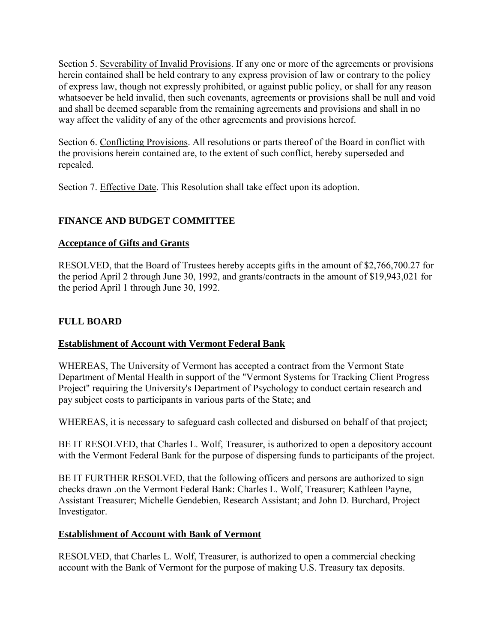<span id="page-17-0"></span>Section 5. Severability of Invalid Provisions. If any one or more of the agreements or provisions herein contained shall be held contrary to any express provision of law or contrary to the policy of express law, though not expressly prohibited, or against public policy, or shall for any reason whatsoever be held invalid, then such covenants, agreements or provisions shall be null and void and shall be deemed separable from the remaining agreements and provisions and shall in no way affect the validity of any of the other agreements and provisions hereof.

Section 6. Conflicting Provisions. All resolutions or parts thereof of the Board in conflict with the provisions herein contained are, to the extent of such conflict, hereby superseded and repealed.

Section 7. Effective Date. This Resolution shall take effect upon its adoption.

# **FINANCE AND BUDGET COMMITTEE**

# **Acceptance of Gifts and Grants**

RESOLVED, that the Board of Trustees hereby accepts gifts in the amount of \$2,766,700.27 for the period April 2 through June 30, 1992, and grants/contracts in the amount of \$19,943,021 for the period April 1 through June 30, 1992.

# **FULL BOARD**

# **Establishment of Account with Vermont Federal Bank**

WHEREAS, The University of Vermont has accepted a contract from the Vermont State Department of Mental Health in support of the "Vermont Systems for Tracking Client Progress Project" requiring the University's Department of Psychology to conduct certain research and pay subject costs to participants in various parts of the State; and

WHEREAS, it is necessary to safeguard cash collected and disbursed on behalf of that project;

BE IT RESOLVED, that Charles L. Wolf, Treasurer, is authorized to open a depository account with the Vermont Federal Bank for the purpose of dispersing funds to participants of the project.

BE IT FURTHER RESOLVED, that the following officers and persons are authorized to sign checks drawn .on the Vermont Federal Bank: Charles L. Wolf, Treasurer; Kathleen Payne, Assistant Treasurer; Michelle Gendebien, Research Assistant; and John D. Burchard, Project Investigator.

## **Establishment of Account with Bank of Vermont**

RESOLVED, that Charles L. Wolf, Treasurer, is authorized to open a commercial checking account with the Bank of Vermont for the purpose of making U.S. Treasury tax deposits.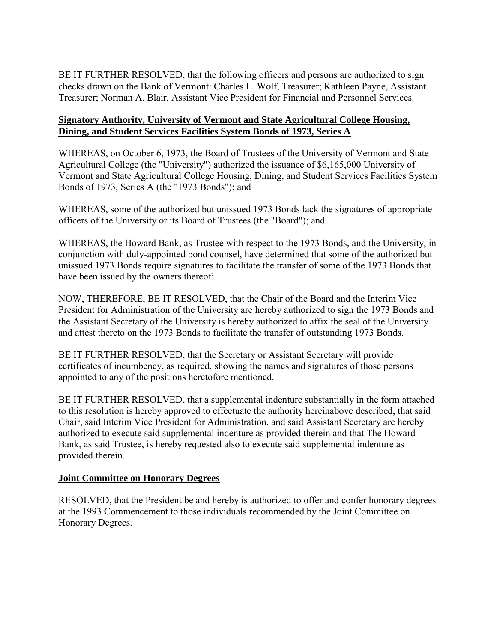<span id="page-18-0"></span>BE IT FURTHER RESOLVED, that the following officers and persons are authorized to sign checks drawn on the Bank of Vermont: Charles L. Wolf, Treasurer; Kathleen Payne, Assistant Treasurer; Norman A. Blair, Assistant Vice President for Financial and Personnel Services.

## **Signatory Authority, University of Vermont and State Agricultural College Housing, Dining, and Student Services Facilities System Bonds of 1973, Series A**

WHEREAS, on October 6, 1973, the Board of Trustees of the University of Vermont and State Agricultural College (the "University") authorized the issuance of \$6,165,000 University of Vermont and State Agricultural College Housing, Dining, and Student Services Facilities System Bonds of 1973, Series A (the "1973 Bonds"); and

WHEREAS, some of the authorized but unissued 1973 Bonds lack the signatures of appropriate officers of the University or its Board of Trustees (the "Board"); and

WHEREAS, the Howard Bank, as Trustee with respect to the 1973 Bonds, and the University, in conjunction with duly-appointed bond counsel, have determined that some of the authorized but unissued 1973 Bonds require signatures to facilitate the transfer of some of the 1973 Bonds that have been issued by the owners thereof;

NOW, THEREFORE, BE IT RESOLVED, that the Chair of the Board and the Interim Vice President for Administration of the University are hereby authorized to sign the 1973 Bonds and the Assistant Secretary of the University is hereby authorized to affix the seal of the University and attest thereto on the 1973 Bonds to facilitate the transfer of outstanding 1973 Bonds.

BE IT FURTHER RESOLVED, that the Secretary or Assistant Secretary will provide certificates of incumbency, as required, showing the names and signatures of those persons appointed to any of the positions heretofore mentioned.

BE IT FURTHER RESOLVED, that a supplemental indenture substantially in the form attached to this resolution is hereby approved to effectuate the authority hereinabove described, that said Chair, said Interim Vice President for Administration, and said Assistant Secretary are hereby authorized to execute said supplemental indenture as provided therein and that The Howard Bank, as said Trustee, is hereby requested also to execute said supplemental indenture as provided therein.

## **Joint Committee on Honorary Degrees**

RESOLVED, that the President be and hereby is authorized to offer and confer honorary degrees at the 1993 Commencement to those individuals recommended by the Joint Committee on Honorary Degrees.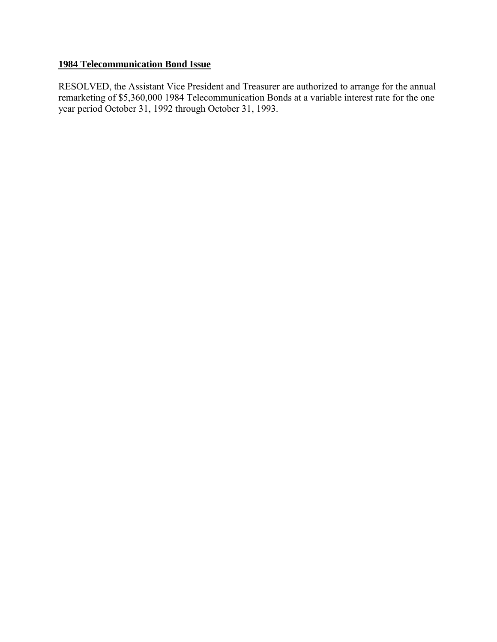# **1984 Telecommunication Bond Issue**

RESOLVED, the Assistant Vice President and Treasurer are authorized to arrange for the annual remarketing of \$5,360,000 1984 Telecommunication Bonds at a variable interest rate for the one year period October 31, 1992 through October 31, 1993.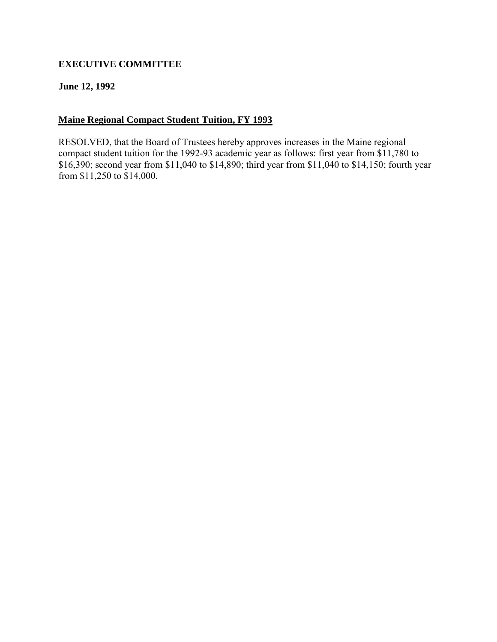# <span id="page-20-0"></span>**EXECUTIVE COMMITTEE**

### **June 12, 1992**

### **Maine Regional Compact Student Tuition, FY 1993**

RESOLVED, that the Board of Trustees hereby approves increases in the Maine regional compact student tuition for the 1992-93 academic year as follows: first year from \$11,780 to \$16,390; second year from \$11,040 to \$14,890; third year from \$11,040 to \$14,150; fourth year from \$11,250 to \$14,000.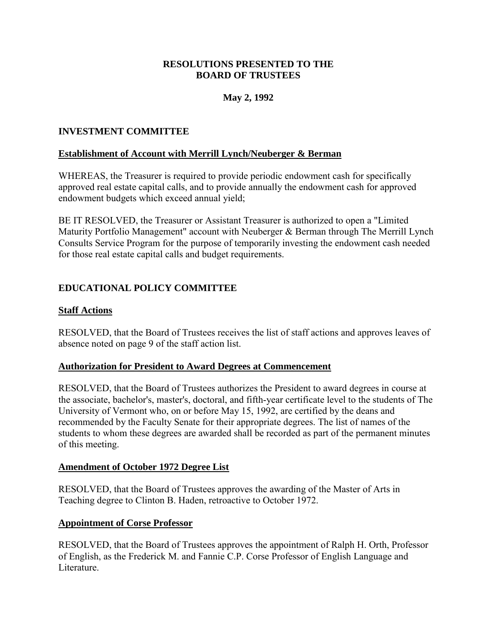### **RESOLUTIONS PRESENTED TO THE BOARD OF TRUSTEES**

# **May 2, 1992**

### <span id="page-21-0"></span>**INVESTMENT COMMITTEE**

#### **Establishment of Account with Merrill Lynch/Neuberger & Berman**

WHEREAS, the Treasurer is required to provide periodic endowment cash for specifically approved real estate capital calls, and to provide annually the endowment cash for approved endowment budgets which exceed annual yield;

BE IT RESOLVED, the Treasurer or Assistant Treasurer is authorized to open a "Limited Maturity Portfolio Management" account with Neuberger & Berman through The Merrill Lynch Consults Service Program for the purpose of temporarily investing the endowment cash needed for those real estate capital calls and budget requirements.

# **EDUCATIONAL POLICY COMMITTEE**

#### **Staff Actions**

RESOLVED, that the Board of Trustees receives the list of staff actions and approves leaves of absence noted on page 9 of the staff action list.

#### **Authorization for President to Award Degrees at Commencement**

RESOLVED, that the Board of Trustees authorizes the President to award degrees in course at the associate, bachelor's, master's, doctoral, and fifth-year certificate level to the students of The University of Vermont who, on or before May 15, 1992, are certified by the deans and recommended by the Faculty Senate for their appropriate degrees. The list of names of the students to whom these degrees are awarded shall be recorded as part of the permanent minutes of this meeting.

#### **Amendment of October 1972 Degree List**

RESOLVED, that the Board of Trustees approves the awarding of the Master of Arts in Teaching degree to Clinton B. Haden, retroactive to October 1972.

#### **Appointment of Corse Professor**

RESOLVED, that the Board of Trustees approves the appointment of Ralph H. Orth, Professor of English, as the Frederick M. and Fannie C.P. Corse Professor of English Language and Literature.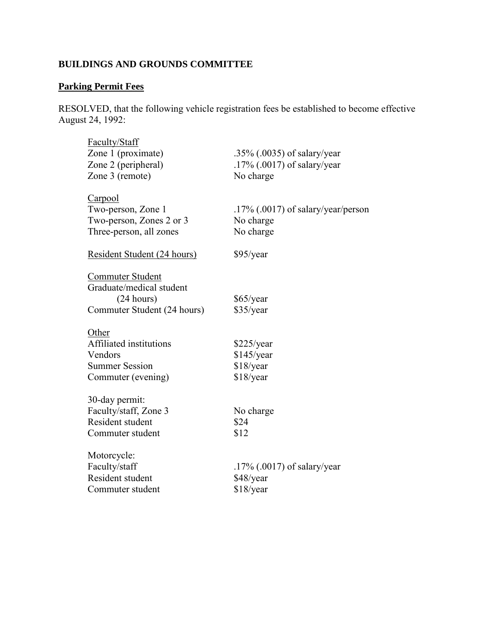# <span id="page-22-0"></span>**BUILDINGS AND GROUNDS COMMITTEE**

# **Parking Permit Fees**

RESOLVED, that the following vehicle registration fees be established to become effective August 24, 1992:

| .35% (.0035) of salary/year           |
|---------------------------------------|
| $.17\%$ (.0017) of salary/year        |
| No charge                             |
|                                       |
| $.17\%$ (.0017) of salary/year/person |
| No charge                             |
| No charge                             |
| $$95$ /year                           |
|                                       |
|                                       |
| $$65$ /year                           |
| \$35/year                             |
|                                       |
| \$225/year                            |
| $$145$ /year                          |
| \$18/year                             |
| $$18$ /year                           |
|                                       |
| No charge                             |
| \$24                                  |
| \$12                                  |
|                                       |
| $.17\%$ (.0017) of salary/year        |
|                                       |
| \$48/year                             |
|                                       |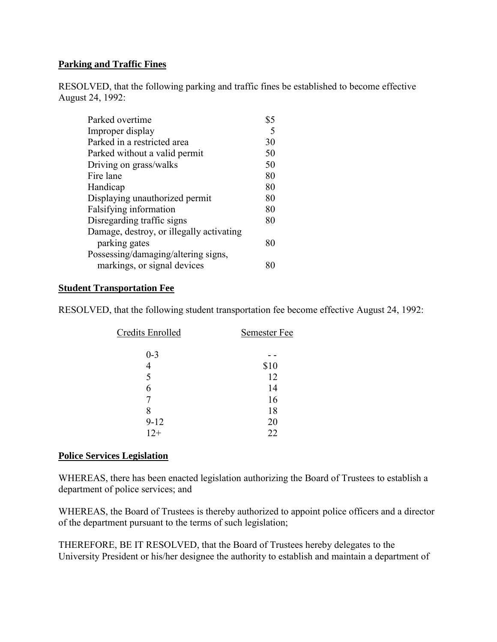### <span id="page-23-0"></span>**Parking and Traffic Fines**

RESOLVED, that the following parking and traffic fines be established to become effective August 24, 1992:

| Parked overtime                          |    |
|------------------------------------------|----|
| Improper display                         |    |
| Parked in a restricted area              | 30 |
| Parked without a valid permit            | 50 |
| Driving on grass/walks                   | 50 |
| Fire lane                                | 80 |
| Handicap                                 | 80 |
| Displaying unauthorized permit           | 80 |
| Falsifying information                   | 80 |
| Disregarding traffic signs               | 80 |
| Damage, destroy, or illegally activating |    |
| parking gates                            | 80 |
| Possessing/damaging/altering signs,      |    |
| markings, or signal devices              |    |
|                                          |    |

#### **Student Transportation Fee**

RESOLVED, that the following student transportation fee become effective August 24, 1992:

| Credits Enrolled | Semester Fee |
|------------------|--------------|
| $0 - 3$          |              |
| 4                | \$10         |
| 5                | 12           |
| 6                | 14           |
|                  | 16           |
| 8                | 18           |
| $9 - 12$         | 20           |
| $12+$            | 22           |

#### **Police Services Legislation**

WHEREAS, there has been enacted legislation authorizing the Board of Trustees to establish a department of police services; and

WHEREAS, the Board of Trustees is thereby authorized to appoint police officers and a director of the department pursuant to the terms of such legislation;

THEREFORE, BE IT RESOLVED, that the Board of Trustees hereby delegates to the University President or his/her designee the authority to establish and maintain a department of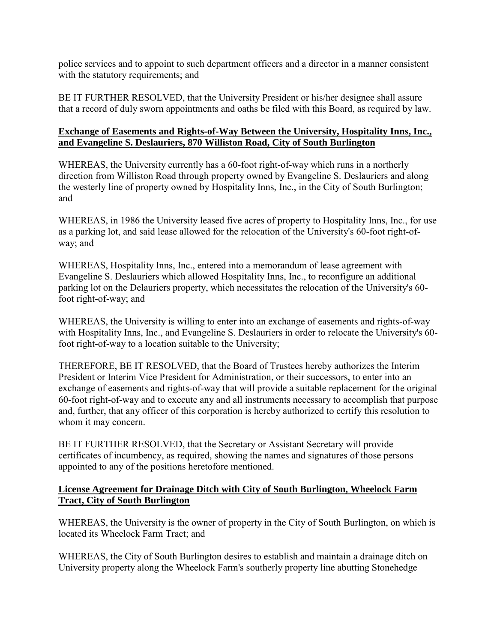<span id="page-24-0"></span>police services and to appoint to such department officers and a director in a manner consistent with the statutory requirements; and

BE IT FURTHER RESOLVED, that the University President or his/her designee shall assure that a record of duly sworn appointments and oaths be filed with this Board, as required by law.

# **Exchange of Easements and Rights-of-Way Between the University, Hospitality Inns, Inc., and Evangeline S. Deslauriers, 870 Williston Road, City of South Burlington**

WHEREAS, the University currently has a 60-foot right-of-way which runs in a northerly direction from Williston Road through property owned by Evangeline S. Deslauriers and along the westerly line of property owned by Hospitality Inns, Inc., in the City of South Burlington; and

WHEREAS, in 1986 the University leased five acres of property to Hospitality Inns, Inc., for use as a parking lot, and said lease allowed for the relocation of the University's 60-foot right-ofway; and

WHEREAS, Hospitality Inns, Inc., entered into a memorandum of lease agreement with Evangeline S. Deslauriers which allowed Hospitality Inns, Inc., to reconfigure an additional parking lot on the Delauriers property, which necessitates the relocation of the University's 60 foot right-of-way; and

WHEREAS, the University is willing to enter into an exchange of easements and rights-of-way with Hospitality Inns, Inc., and Evangeline S. Deslauriers in order to relocate the University's 60 foot right-of-way to a location suitable to the University;

THEREFORE, BE IT RESOLVED, that the Board of Trustees hereby authorizes the Interim President or Interim Vice President for Administration, or their successors, to enter into an exchange of easements and rights-of-way that will provide a suitable replacement for the original 60-foot right-of-way and to execute any and all instruments necessary to accomplish that purpose and, further, that any officer of this corporation is hereby authorized to certify this resolution to whom it may concern.

BE IT FURTHER RESOLVED, that the Secretary or Assistant Secretary will provide certificates of incumbency, as required, showing the names and signatures of those persons appointed to any of the positions heretofore mentioned.

## **License Agreement for Drainage Ditch with City of South Burlington, Wheelock Farm Tract, City of South Burlington**

WHEREAS, the University is the owner of property in the City of South Burlington, on which is located its Wheelock Farm Tract; and

WHEREAS, the City of South Burlington desires to establish and maintain a drainage ditch on University property along the Wheelock Farm's southerly property line abutting Stonehedge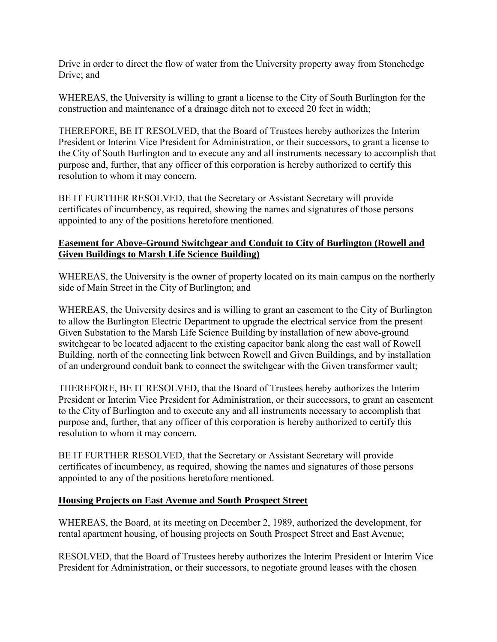<span id="page-25-0"></span>Drive in order to direct the flow of water from the University property away from Stonehedge Drive; and

WHEREAS, the University is willing to grant a license to the City of South Burlington for the construction and maintenance of a drainage ditch not to exceed 20 feet in width;

THEREFORE, BE IT RESOLVED, that the Board of Trustees hereby authorizes the Interim President or Interim Vice President for Administration, or their successors, to grant a license to the City of South Burlington and to execute any and all instruments necessary to accomplish that purpose and, further, that any officer of this corporation is hereby authorized to certify this resolution to whom it may concern.

BE IT FURTHER RESOLVED, that the Secretary or Assistant Secretary will provide certificates of incumbency, as required, showing the names and signatures of those persons appointed to any of the positions heretofore mentioned.

## **Easement for Above-Ground Switchgear and Conduit to City of Burlington (Rowell and Given Buildings to Marsh Life Science Building)**

WHEREAS, the University is the owner of property located on its main campus on the northerly side of Main Street in the City of Burlington; and

WHEREAS, the University desires and is willing to grant an easement to the City of Burlington to allow the Burlington Electric Department to upgrade the electrical service from the present Given Substation to the Marsh Life Science Building by installation of new above-ground switchgear to be located adjacent to the existing capacitor bank along the east wall of Rowell Building, north of the connecting link between Rowell and Given Buildings, and by installation of an underground conduit bank to connect the switchgear with the Given transformer vault;

THEREFORE, BE IT RESOLVED, that the Board of Trustees hereby authorizes the Interim President or Interim Vice President for Administration, or their successors, to grant an easement to the City of Burlington and to execute any and all instruments necessary to accomplish that purpose and, further, that any officer of this corporation is hereby authorized to certify this resolution to whom it may concern.

BE IT FURTHER RESOLVED, that the Secretary or Assistant Secretary will provide certificates of incumbency, as required, showing the names and signatures of those persons appointed to any of the positions heretofore mentioned.

## **Housing Projects on East Avenue and South Prospect Street**

WHEREAS, the Board, at its meeting on December 2, 1989, authorized the development, for rental apartment housing, of housing projects on South Prospect Street and East Avenue;

RESOLVED, that the Board of Trustees hereby authorizes the Interim President or Interim Vice President for Administration, or their successors, to negotiate ground leases with the chosen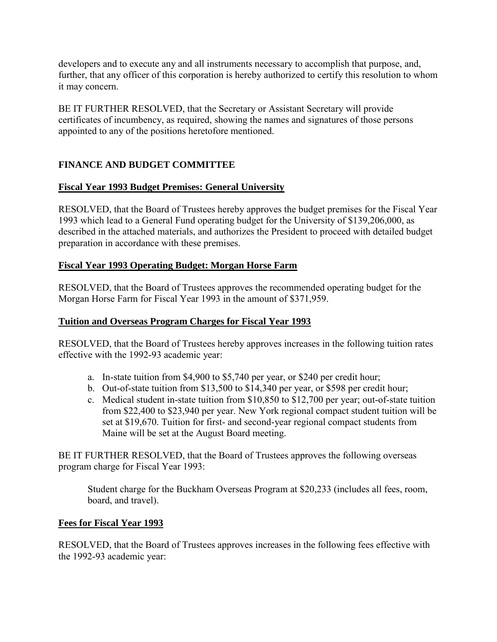<span id="page-26-0"></span>developers and to execute any and all instruments necessary to accomplish that purpose, and, further, that any officer of this corporation is hereby authorized to certify this resolution to whom it may concern.

BE IT FURTHER RESOLVED, that the Secretary or Assistant Secretary will provide certificates of incumbency, as required, showing the names and signatures of those persons appointed to any of the positions heretofore mentioned.

# **FINANCE AND BUDGET COMMITTEE**

# **Fiscal Year 1993 Budget Premises: General University**

RESOLVED, that the Board of Trustees hereby approves the budget premises for the Fiscal Year 1993 which lead to a General Fund operating budget for the University of \$139,206,000, as described in the attached materials, and authorizes the President to proceed with detailed budget preparation in accordance with these premises.

# **Fiscal Year 1993 Operating Budget: Morgan Horse Farm**

RESOLVED, that the Board of Trustees approves the recommended operating budget for the Morgan Horse Farm for Fiscal Year 1993 in the amount of \$371,959.

# **Tuition and Overseas Program Charges for Fiscal Year 1993**

RESOLVED, that the Board of Trustees hereby approves increases in the following tuition rates effective with the 1992-93 academic year:

- a. In-state tuition from \$4,900 to \$5,740 per year, or \$240 per credit hour;
- b. Out-of-state tuition from \$13,500 to \$14,340 per year, or \$598 per credit hour;
- c. Medical student in-state tuition from \$10,850 to \$12,700 per year; out-of-state tuition from \$22,400 to \$23,940 per year. New York regional compact student tuition will be set at \$19,670. Tuition for first- and second-year regional compact students from Maine will be set at the August Board meeting.

BE IT FURTHER RESOLVED, that the Board of Trustees approves the following overseas program charge for Fiscal Year 1993:

Student charge for the Buckham Overseas Program at \$20,233 (includes all fees, room, board, and travel).

## **Fees for Fiscal Year 1993**

RESOLVED, that the Board of Trustees approves increases in the following fees effective with the 1992-93 academic year: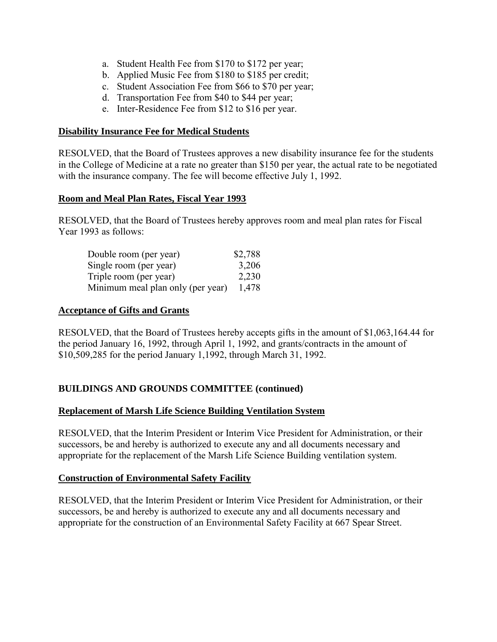- <span id="page-27-0"></span>a. Student Health Fee from \$170 to \$172 per year;
- b. Applied Music Fee from \$180 to \$185 per credit;
- c. Student Association Fee from \$66 to \$70 per year;
- d. Transportation Fee from \$40 to \$44 per year;
- e. Inter-Residence Fee from \$12 to \$16 per year.

#### **Disability Insurance Fee for Medical Students**

RESOLVED, that the Board of Trustees approves a new disability insurance fee for the students in the College of Medicine at a rate no greater than \$150 per year, the actual rate to be negotiated with the insurance company. The fee will become effective July 1, 1992.

#### **Room and Meal Plan Rates, Fiscal Year 1993**

RESOLVED, that the Board of Trustees hereby approves room and meal plan rates for Fiscal Year 1993 as follows:

| Double room (per year)            | \$2,788 |
|-----------------------------------|---------|
| Single room (per year)            | 3,206   |
| Triple room (per year)            | 2,230   |
| Minimum meal plan only (per year) | 1,478   |

### **Acceptance of Gifts and Grants**

RESOLVED, that the Board of Trustees hereby accepts gifts in the amount of \$1,063,164.44 for the period January 16, 1992, through April 1, 1992, and grants/contracts in the amount of \$10,509,285 for the period January 1,1992, through March 31, 1992.

## **BUILDINGS AND GROUNDS COMMITTEE (continued)**

## **Replacement of Marsh Life Science Building Ventilation System**

RESOLVED, that the Interim President or Interim Vice President for Administration, or their successors, be and hereby is authorized to execute any and all documents necessary and appropriate for the replacement of the Marsh Life Science Building ventilation system.

## **Construction of Environmental Safety Facility**

RESOLVED, that the Interim President or Interim Vice President for Administration, or their successors, be and hereby is authorized to execute any and all documents necessary and appropriate for the construction of an Environmental Safety Facility at 667 Spear Street.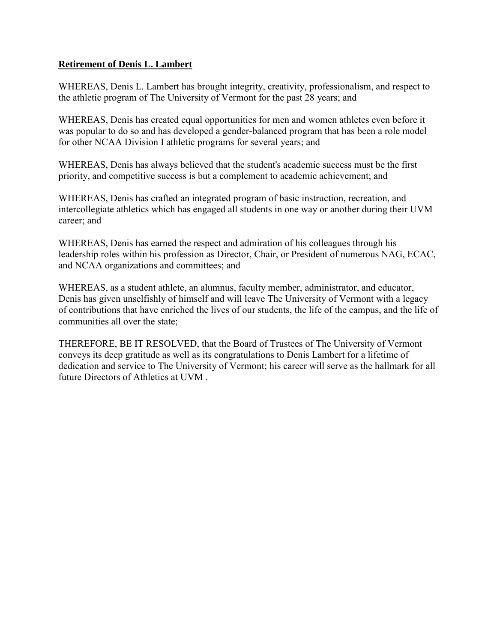### **Retirement of Denis L. Lambert**

WHEREAS, Denis L. Lambert has brought integrity, creativity, professionalism, and respect to the athletic program of The University of Vermont for the past 28 years; and

WHEREAS, Denis has created equal opportunities for men and women athletes even before it was popular to do so and has developed a gender-balanced program that has been a role model for other NCAA Division I athletic programs for several years; and

WHEREAS, Denis has always believed that the student's academic success must be the first priority, and competitive success is but a complement to academic achievement; and

WHEREAS, Denis has crafted an integrated program of basic instruction, recreation, and intercollegiate athletics which has engaged all students in one way or another during their UVM career; and

WHEREAS, Denis has earned the respect and admiration of his colleagues through his leadership roles within his profession as Director, Chair, or President of numerous NAG, ECAC, and NCAA organizations and committees; and

WHEREAS, as a student athlete, an alumnus, faculty member, administrator, and educator, Denis has given unselfishly of himself and will leave The University of Vermont with a legacy of contributions that have enriched the lives of our students, the life of the campus, and the life of communities all over the state;

THEREFORE, BE IT RESOLVED, that the Board of Trustees of The University of Vermont conveys its deep gratitude as well as its congratulations to Denis Lambert for a lifetime of dedication and service to The University of Vermont; his career will serve as the hallmark for all future Directors of Athletics at UVM .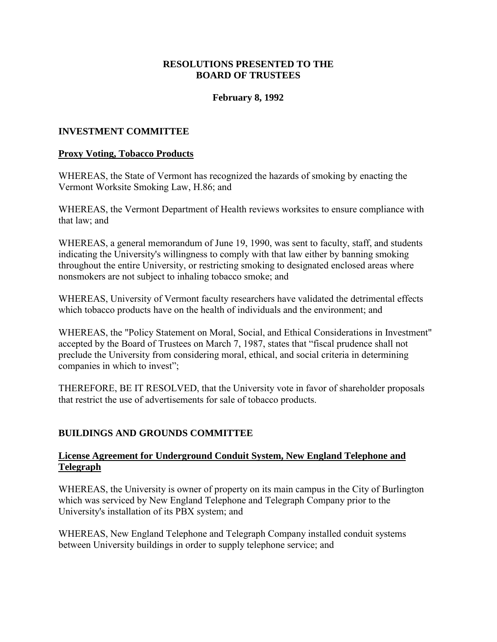### **RESOLUTIONS PRESENTED TO THE BOARD OF TRUSTEES**

### **February 8, 1992**

#### <span id="page-29-0"></span>**INVESTMENT COMMITTEE**

#### **Proxy Voting, Tobacco Products**

WHEREAS, the State of Vermont has recognized the hazards of smoking by enacting the Vermont Worksite Smoking Law, H.86; and

WHEREAS, the Vermont Department of Health reviews worksites to ensure compliance with that law; and

WHEREAS, a general memorandum of June 19, 1990, was sent to faculty, staff, and students indicating the University's willingness to comply with that law either by banning smoking throughout the entire University, or restricting smoking to designated enclosed areas where nonsmokers are not subject to inhaling tobacco smoke; and

WHEREAS, University of Vermont faculty researchers have validated the detrimental effects which tobacco products have on the health of individuals and the environment; and

WHEREAS, the "Policy Statement on Moral, Social, and Ethical Considerations in Investment" accepted by the Board of Trustees on March 7, 1987, states that "fiscal prudence shall not preclude the University from considering moral, ethical, and social criteria in determining companies in which to invest";

THEREFORE, BE IT RESOLVED, that the University vote in favor of shareholder proposals that restrict the use of advertisements for sale of tobacco products.

#### **BUILDINGS AND GROUNDS COMMITTEE**

### **License Agreement for Underground Conduit System, New England Telephone and Telegraph**

WHEREAS, the University is owner of property on its main campus in the City of Burlington which was serviced by New England Telephone and Telegraph Company prior to the University's installation of its PBX system; and

WHEREAS, New England Telephone and Telegraph Company installed conduit systems between University buildings in order to supply telephone service; and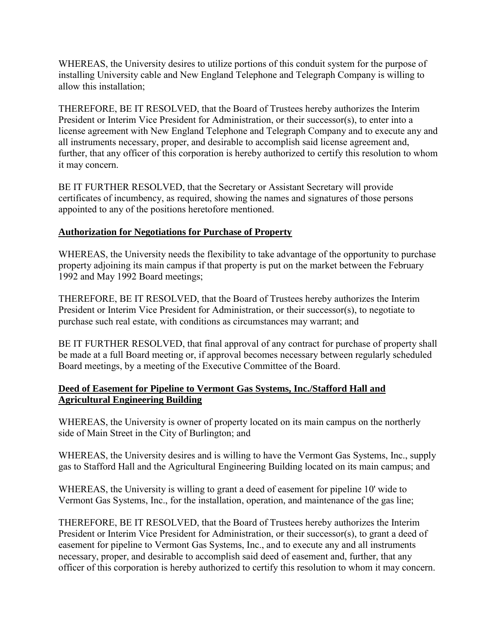<span id="page-30-0"></span>WHEREAS, the University desires to utilize portions of this conduit system for the purpose of installing University cable and New England Telephone and Telegraph Company is willing to allow this installation;

THEREFORE, BE IT RESOLVED, that the Board of Trustees hereby authorizes the Interim President or Interim Vice President for Administration, or their successor(s), to enter into a license agreement with New England Telephone and Telegraph Company and to execute any and all instruments necessary, proper, and desirable to accomplish said license agreement and, further, that any officer of this corporation is hereby authorized to certify this resolution to whom it may concern.

BE IT FURTHER RESOLVED, that the Secretary or Assistant Secretary will provide certificates of incumbency, as required, showing the names and signatures of those persons appointed to any of the positions heretofore mentioned.

## **Authorization for Negotiations for Purchase of Property**

WHEREAS, the University needs the flexibility to take advantage of the opportunity to purchase property adjoining its main campus if that property is put on the market between the February 1992 and May 1992 Board meetings;

THEREFORE, BE IT RESOLVED, that the Board of Trustees hereby authorizes the Interim President or Interim Vice President for Administration, or their successor(s), to negotiate to purchase such real estate, with conditions as circumstances may warrant; and

BE IT FURTHER RESOLVED, that final approval of any contract for purchase of property shall be made at a full Board meeting or, if approval becomes necessary between regularly scheduled Board meetings, by a meeting of the Executive Committee of the Board.

## **Deed of Easement for Pipeline to Vermont Gas Systems, Inc./Stafford Hall and Agricultural Engineering Building**

WHEREAS, the University is owner of property located on its main campus on the northerly side of Main Street in the City of Burlington; and

WHEREAS, the University desires and is willing to have the Vermont Gas Systems, Inc., supply gas to Stafford Hall and the Agricultural Engineering Building located on its main campus; and

WHEREAS, the University is willing to grant a deed of easement for pipeline 10' wide to Vermont Gas Systems, Inc., for the installation, operation, and maintenance of the gas line;

THEREFORE, BE IT RESOLVED, that the Board of Trustees hereby authorizes the Interim President or Interim Vice President for Administration, or their successor(s), to grant a deed of easement for pipeline to Vermont Gas Systems, Inc., and to execute any and all instruments necessary, proper, and desirable to accomplish said deed of easement and, further, that any officer of this corporation is hereby authorized to certify this resolution to whom it may concern.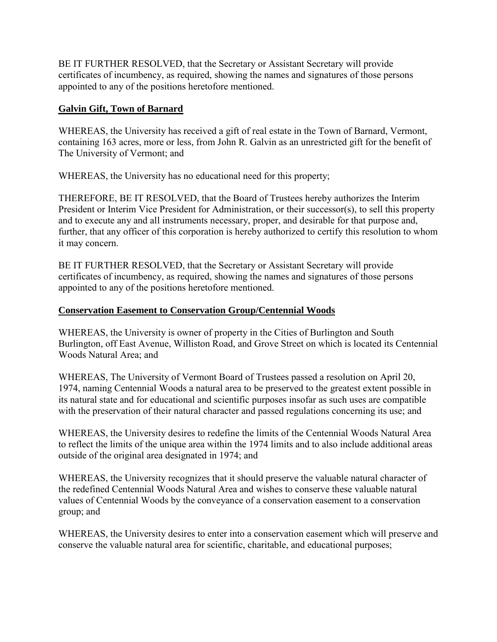<span id="page-31-0"></span>BE IT FURTHER RESOLVED, that the Secretary or Assistant Secretary will provide certificates of incumbency, as required, showing the names and signatures of those persons appointed to any of the positions heretofore mentioned.

# **Galvin Gift, Town of Barnard**

WHEREAS, the University has received a gift of real estate in the Town of Barnard, Vermont, containing 163 acres, more or less, from John R. Galvin as an unrestricted gift for the benefit of The University of Vermont; and

WHEREAS, the University has no educational need for this property;

THEREFORE, BE IT RESOLVED, that the Board of Trustees hereby authorizes the Interim President or Interim Vice President for Administration, or their successor(s), to sell this property and to execute any and all instruments necessary, proper, and desirable for that purpose and, further, that any officer of this corporation is hereby authorized to certify this resolution to whom it may concern.

BE IT FURTHER RESOLVED, that the Secretary or Assistant Secretary will provide certificates of incumbency, as required, showing the names and signatures of those persons appointed to any of the positions heretofore mentioned.

# **Conservation Easement to Conservation Group/Centennial Woods**

WHEREAS, the University is owner of property in the Cities of Burlington and South Burlington, off East Avenue, Williston Road, and Grove Street on which is located its Centennial Woods Natural Area; and

WHEREAS, The University of Vermont Board of Trustees passed a resolution on April 20, 1974, naming Centennial Woods a natural area to be preserved to the greatest extent possible in its natural state and for educational and scientific purposes insofar as such uses are compatible with the preservation of their natural character and passed regulations concerning its use; and

WHEREAS, the University desires to redefine the limits of the Centennial Woods Natural Area to reflect the limits of the unique area within the 1974 limits and to also include additional areas outside of the original area designated in 1974; and

WHEREAS, the University recognizes that it should preserve the valuable natural character of the redefined Centennial Woods Natural Area and wishes to conserve these valuable natural values of Centennial Woods by the conveyance of a conservation easement to a conservation group; and

WHEREAS, the University desires to enter into a conservation easement which will preserve and conserve the valuable natural area for scientific, charitable, and educational purposes;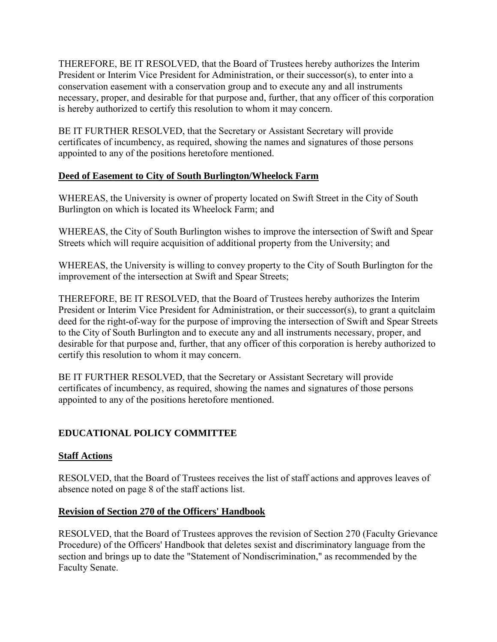<span id="page-32-0"></span>THEREFORE, BE IT RESOLVED, that the Board of Trustees hereby authorizes the Interim President or Interim Vice President for Administration, or their successor(s), to enter into a conservation easement with a conservation group and to execute any and all instruments necessary, proper, and desirable for that purpose and, further, that any officer of this corporation is hereby authorized to certify this resolution to whom it may concern.

BE IT FURTHER RESOLVED, that the Secretary or Assistant Secretary will provide certificates of incumbency, as required, showing the names and signatures of those persons appointed to any of the positions heretofore mentioned.

# **Deed of Easement to City of South Burlington/Wheelock Farm**

WHEREAS, the University is owner of property located on Swift Street in the City of South Burlington on which is located its Wheelock Farm; and

WHEREAS, the City of South Burlington wishes to improve the intersection of Swift and Spear Streets which will require acquisition of additional property from the University; and

WHEREAS, the University is willing to convey property to the City of South Burlington for the improvement of the intersection at Swift and Spear Streets;

THEREFORE, BE IT RESOLVED, that the Board of Trustees hereby authorizes the Interim President or Interim Vice President for Administration, or their successor(s), to grant a quitclaim deed for the right-of-way for the purpose of improving the intersection of Swift and Spear Streets to the City of South Burlington and to execute any and all instruments necessary, proper, and desirable for that purpose and, further, that any officer of this corporation is hereby authorized to certify this resolution to whom it may concern.

BE IT FURTHER RESOLVED, that the Secretary or Assistant Secretary will provide certificates of incumbency, as required, showing the names and signatures of those persons appointed to any of the positions heretofore mentioned.

# **EDUCATIONAL POLICY COMMITTEE**

## **Staff Actions**

RESOLVED, that the Board of Trustees receives the list of staff actions and approves leaves of absence noted on page 8 of the staff actions list.

## **Revision of Section 270 of the Officers' Handbook**

RESOLVED, that the Board of Trustees approves the revision of Section 270 (Faculty Grievance Procedure) of the Officers' Handbook that deletes sexist and discriminatory language from the section and brings up to date the "Statement of Nondiscrimination," as recommended by the Faculty Senate.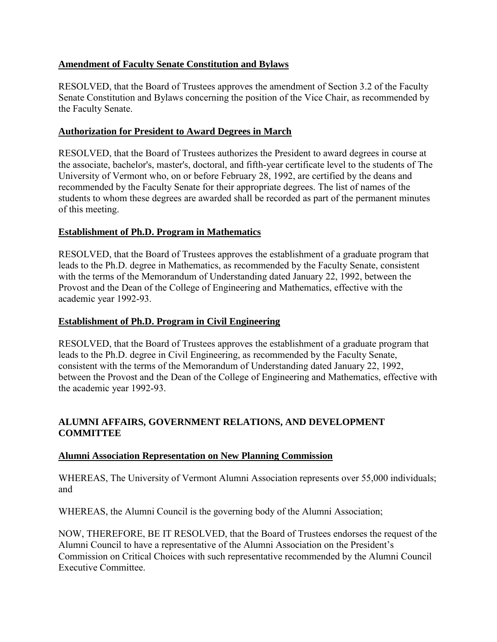## <span id="page-33-0"></span>**Amendment of Faculty Senate Constitution and Bylaws**

RESOLVED, that the Board of Trustees approves the amendment of Section 3.2 of the Faculty Senate Constitution and Bylaws concerning the position of the Vice Chair, as recommended by the Faculty Senate.

## **Authorization for President to Award Degrees in March**

RESOLVED, that the Board of Trustees authorizes the President to award degrees in course at the associate, bachelor's, master's, doctoral, and fifth-year certificate level to the students of The University of Vermont who, on or before February 28, 1992, are certified by the deans and recommended by the Faculty Senate for their appropriate degrees. The list of names of the students to whom these degrees are awarded shall be recorded as part of the permanent minutes of this meeting.

# **Establishment of Ph.D. Program in Mathematics**

RESOLVED, that the Board of Trustees approves the establishment of a graduate program that leads to the Ph.D. degree in Mathematics, as recommended by the Faculty Senate, consistent with the terms of the Memorandum of Understanding dated January 22, 1992, between the Provost and the Dean of the College of Engineering and Mathematics, effective with the academic year 1992-93.

## **Establishment of Ph.D. Program in Civil Engineering**

RESOLVED, that the Board of Trustees approves the establishment of a graduate program that leads to the Ph.D. degree in Civil Engineering, as recommended by the Faculty Senate, consistent with the terms of the Memorandum of Understanding dated January 22, 1992, between the Provost and the Dean of the College of Engineering and Mathematics, effective with the academic year 1992-93.

# **ALUMNI AFFAIRS, GOVERNMENT RELATIONS, AND DEVELOPMENT COMMITTEE**

## **Alumni Association Representation on New Planning Commission**

WHEREAS, The University of Vermont Alumni Association represents over 55,000 individuals; and

WHEREAS, the Alumni Council is the governing body of the Alumni Association;

NOW, THEREFORE, BE IT RESOLVED, that the Board of Trustees endorses the request of the Alumni Council to have a representative of the Alumni Association on the President's Commission on Critical Choices with such representative recommended by the Alumni Council Executive Committee.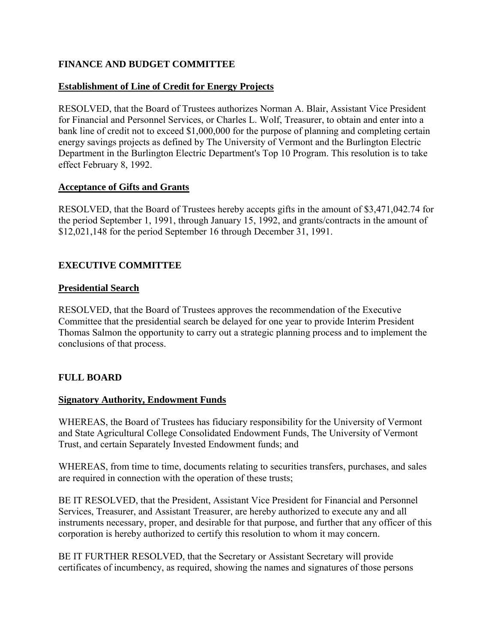## <span id="page-34-0"></span>**FINANCE AND BUDGET COMMITTEE**

## **Establishment of Line of Credit for Energy Projects**

RESOLVED, that the Board of Trustees authorizes Norman A. Blair, Assistant Vice President for Financial and Personnel Services, or Charles L. Wolf, Treasurer, to obtain and enter into a bank line of credit not to exceed \$1,000,000 for the purpose of planning and completing certain energy savings projects as defined by The University of Vermont and the Burlington Electric Department in the Burlington Electric Department's Top 10 Program. This resolution is to take effect February 8, 1992.

### **Acceptance of Gifts and Grants**

RESOLVED, that the Board of Trustees hereby accepts gifts in the amount of \$3,471,042.74 for the period September 1, 1991, through January 15, 1992, and grants/contracts in the amount of \$12,021,148 for the period September 16 through December 31, 1991.

# **EXECUTIVE COMMITTEE**

### **Presidential Search**

RESOLVED, that the Board of Trustees approves the recommendation of the Executive Committee that the presidential search be delayed for one year to provide Interim President Thomas Salmon the opportunity to carry out a strategic planning process and to implement the conclusions of that process.

## **FULL BOARD**

## **Signatory Authority, Endowment Funds**

WHEREAS, the Board of Trustees has fiduciary responsibility for the University of Vermont and State Agricultural College Consolidated Endowment Funds, The University of Vermont Trust, and certain Separately Invested Endowment funds; and

WHEREAS, from time to time, documents relating to securities transfers, purchases, and sales are required in connection with the operation of these trusts;

BE IT RESOLVED, that the President, Assistant Vice President for Financial and Personnel Services, Treasurer, and Assistant Treasurer, are hereby authorized to execute any and all instruments necessary, proper, and desirable for that purpose, and further that any officer of this corporation is hereby authorized to certify this resolution to whom it may concern.

BE IT FURTHER RESOLVED, that the Secretary or Assistant Secretary will provide certificates of incumbency, as required, showing the names and signatures of those persons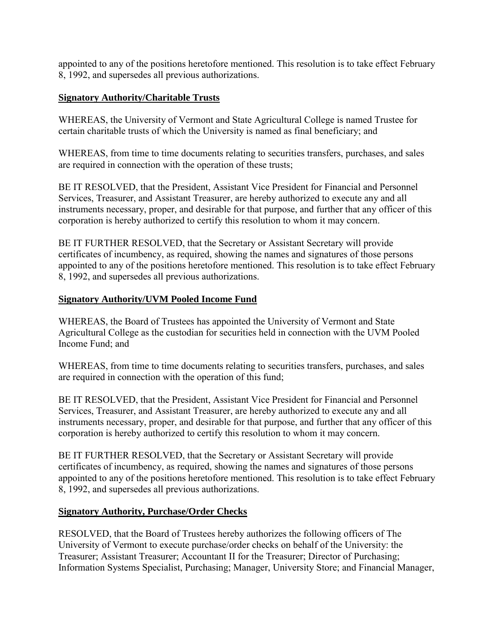<span id="page-35-0"></span>appointed to any of the positions heretofore mentioned. This resolution is to take effect February 8, 1992, and supersedes all previous authorizations.

# **Signatory Authority/Charitable Trusts**

WHEREAS, the University of Vermont and State Agricultural College is named Trustee for certain charitable trusts of which the University is named as final beneficiary; and

WHEREAS, from time to time documents relating to securities transfers, purchases, and sales are required in connection with the operation of these trusts;

BE IT RESOLVED, that the President, Assistant Vice President for Financial and Personnel Services, Treasurer, and Assistant Treasurer, are hereby authorized to execute any and all instruments necessary, proper, and desirable for that purpose, and further that any officer of this corporation is hereby authorized to certify this resolution to whom it may concern.

BE IT FURTHER RESOLVED, that the Secretary or Assistant Secretary will provide certificates of incumbency, as required, showing the names and signatures of those persons appointed to any of the positions heretofore mentioned. This resolution is to take effect February 8, 1992, and supersedes all previous authorizations.

# **Signatory Authority/UVM Pooled Income Fund**

WHEREAS, the Board of Trustees has appointed the University of Vermont and State Agricultural College as the custodian for securities held in connection with the UVM Pooled Income Fund; and

WHEREAS, from time to time documents relating to securities transfers, purchases, and sales are required in connection with the operation of this fund;

BE IT RESOLVED, that the President, Assistant Vice President for Financial and Personnel Services, Treasurer, and Assistant Treasurer, are hereby authorized to execute any and all instruments necessary, proper, and desirable for that purpose, and further that any officer of this corporation is hereby authorized to certify this resolution to whom it may concern.

BE IT FURTHER RESOLVED, that the Secretary or Assistant Secretary will provide certificates of incumbency, as required, showing the names and signatures of those persons appointed to any of the positions heretofore mentioned. This resolution is to take effect February 8, 1992, and supersedes all previous authorizations.

# **Signatory Authority, Purchase/Order Checks**

RESOLVED, that the Board of Trustees hereby authorizes the following officers of The University of Vermont to execute purchase/order checks on behalf of the University: the Treasurer; Assistant Treasurer; Accountant II for the Treasurer; Director of Purchasing; Information Systems Specialist, Purchasing; Manager, University Store; and Financial Manager,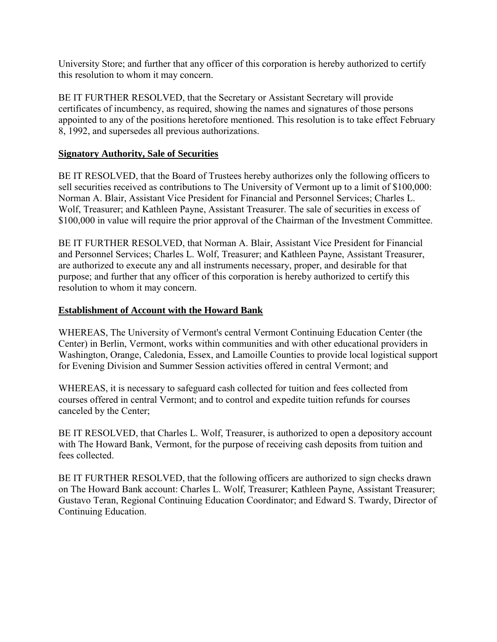<span id="page-36-0"></span>University Store; and further that any officer of this corporation is hereby authorized to certify this resolution to whom it may concern.

BE IT FURTHER RESOLVED, that the Secretary or Assistant Secretary will provide certificates of incumbency, as required, showing the names and signatures of those persons appointed to any of the positions heretofore mentioned. This resolution is to take effect February 8, 1992, and supersedes all previous authorizations.

### **Signatory Authority, Sale of Securities**

BE IT RESOLVED, that the Board of Trustees hereby authorizes only the following officers to sell securities received as contributions to The University of Vermont up to a limit of \$100,000: Norman A. Blair, Assistant Vice President for Financial and Personnel Services; Charles L. Wolf, Treasurer; and Kathleen Payne, Assistant Treasurer. The sale of securities in excess of \$100,000 in value will require the prior approval of the Chairman of the Investment Committee.

BE IT FURTHER RESOLVED, that Norman A. Blair, Assistant Vice President for Financial and Personnel Services; Charles L. Wolf, Treasurer; and Kathleen Payne, Assistant Treasurer, are authorized to execute any and all instruments necessary, proper, and desirable for that purpose; and further that any officer of this corporation is hereby authorized to certify this resolution to whom it may concern.

## **Establishment of Account with the Howard Bank**

WHEREAS, The University of Vermont's central Vermont Continuing Education Center (the Center) in Berlin, Vermont, works within communities and with other educational providers in Washington, Orange, Caledonia, Essex, and Lamoille Counties to provide local logistical support for Evening Division and Summer Session activities offered in central Vermont; and

WHEREAS, it is necessary to safeguard cash collected for tuition and fees collected from courses offered in central Vermont; and to control and expedite tuition refunds for courses canceled by the Center;

BE IT RESOLVED, that Charles L. Wolf, Treasurer, is authorized to open a depository account with The Howard Bank, Vermont, for the purpose of receiving cash deposits from tuition and fees collected.

BE IT FURTHER RESOLVED, that the following officers are authorized to sign checks drawn on The Howard Bank account: Charles L. Wolf, Treasurer; Kathleen Payne, Assistant Treasurer; Gustavo Teran, Regional Continuing Education Coordinator; and Edward S. Twardy, Director of Continuing Education.